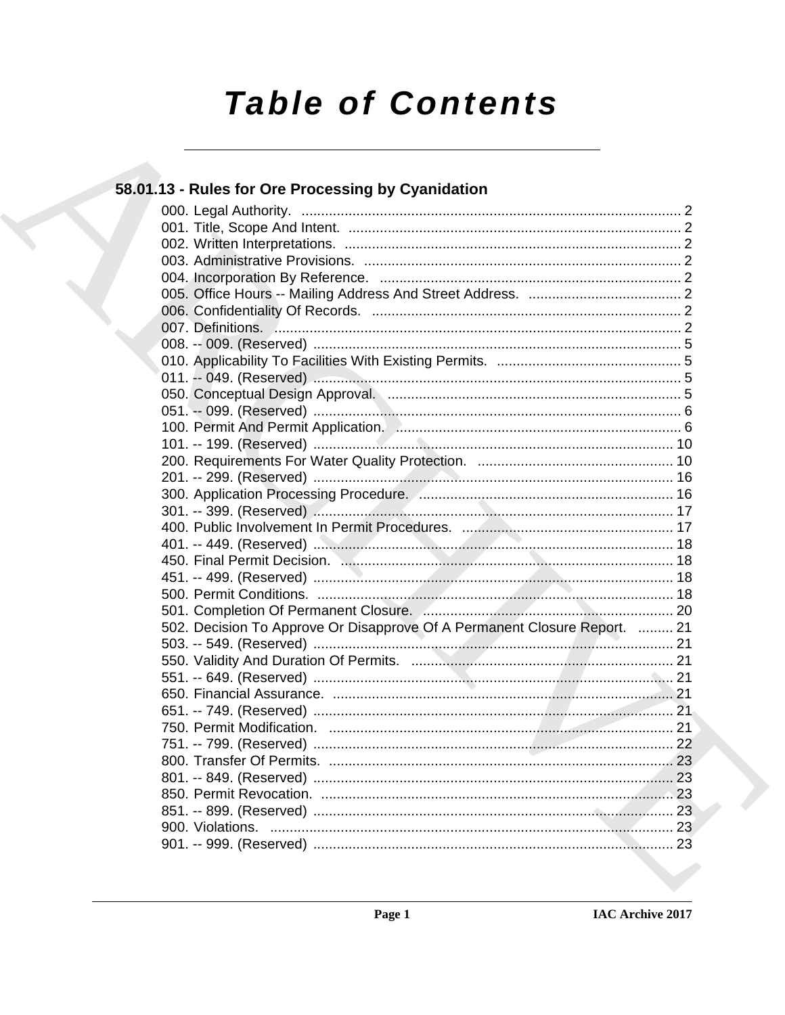# **Table of Contents**

# 58.01.13 - Rules for Ore Processing by Cyanidation

| 502. Decision To Approve Or Disapprove Of A Permanent Closure Report.  21 |  |
|---------------------------------------------------------------------------|--|
|                                                                           |  |
|                                                                           |  |
|                                                                           |  |
|                                                                           |  |
|                                                                           |  |
|                                                                           |  |
|                                                                           |  |
|                                                                           |  |
|                                                                           |  |
|                                                                           |  |
|                                                                           |  |
|                                                                           |  |
|                                                                           |  |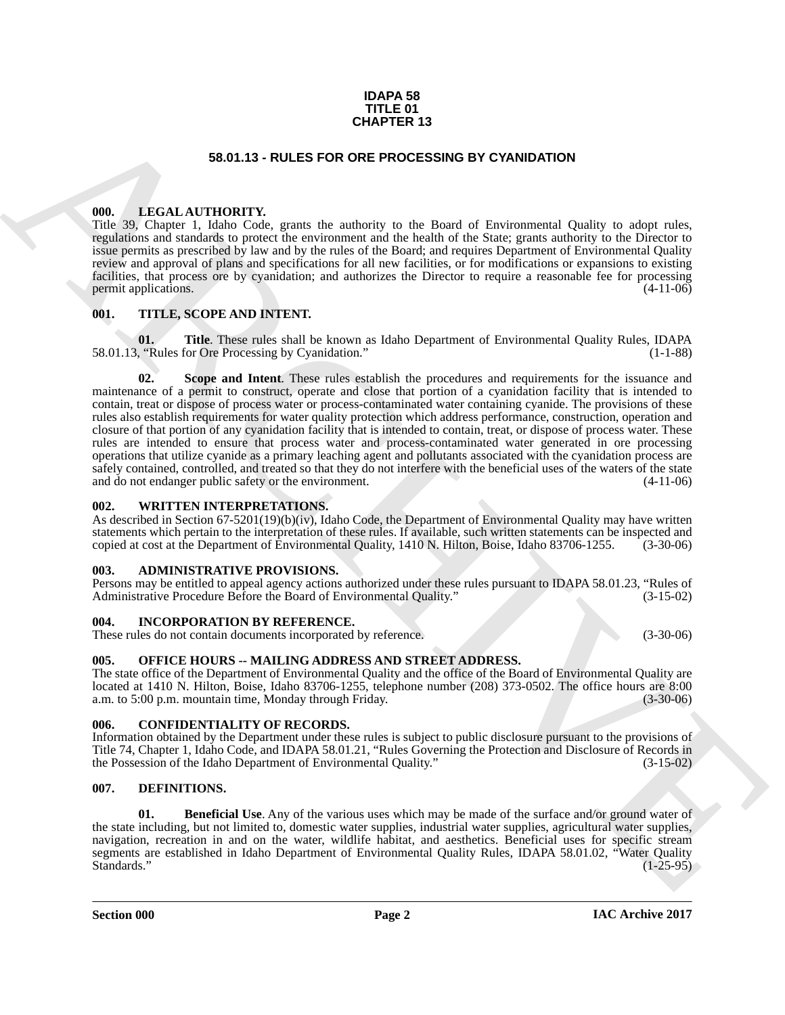#### **IDAPA 58 TITLE 01 CHAPTER 13**

#### **58.01.13 - RULES FOR ORE PROCESSING BY CYANIDATION**

#### <span id="page-1-1"></span><span id="page-1-0"></span>**000. LEGAL AUTHORITY.**

Title 39, Chapter 1, Idaho Code, grants the authority to the Board of Environmental Quality to adopt rules, regulations and standards to protect the environment and the health of the State; grants authority to the Director to issue permits as prescribed by law and by the rules of the Board; and requires Department of Environmental Quality review and approval of plans and specifications for all new facilities, or for modifications or expansions to existing facilities, that process ore by cyanidation; and authorizes the Director to require a reasonable fee for processing permit applications. (4-11-06)

#### <span id="page-1-2"></span>**001. TITLE, SCOPE AND INTENT.**

**01.** Title. These rules shall be known as Idaho Department of Environmental Quality Rules, IDAPA ("Rules for Ore Processing by Cyanidation." (1-1-88) 58.01.13, "Rules for Ore Processing by Cyanidation."

**56.01.13 - RULES FOR GEVEN TRANSVERS 13**<br> **66.01.13 - RULES FOR OR E PROCESSING BY CYAMDATION**<br>
(III) - The CAL ATTITUDENTY, game the multiplier pair due of a reasonable pair of the set of the control of the CA and the p **Scope and Intent**. These rules establish the procedures and requirements for the issuance and maintenance of a permit to construct, operate and close that portion of a cyanidation facility that is intended to contain, treat or dispose of process water or process-contaminated water containing cyanide. The provisions of these rules also establish requirements for water quality protection which address performance, construction, operation and closure of that portion of any cyanidation facility that is intended to contain, treat, or dispose of process water. These rules are intended to ensure that process water and process-contaminated water generated in ore processing operations that utilize cyanide as a primary leaching agent and pollutants associated with the cyanidation process are safely contained, controlled, and treated so that they do not interfere with the beneficial uses of the waters of the state and do not endanger public safety or the environment. (4-11-06) and do not endanger public safety or the environment.

#### <span id="page-1-3"></span>**002. WRITTEN INTERPRETATIONS.**

As described in Section 67-5201(19)(b)(iv), Idaho Code, the Department of Environmental Quality may have written statements which pertain to the interpretation of these rules. If available, such written statements can be inspected and copied at cost at the Department of Environmental Quality, 1410 N. Hilton, Boise, Idaho 83706-1255. copied at cost at the Department of Environmental Quality, 1410 N. Hilton, Boise, Idaho 83706-1255.

#### <span id="page-1-4"></span>**003. ADMINISTRATIVE PROVISIONS.**

Persons may be entitled to appeal agency actions authorized under these rules pursuant to IDAPA 58.01.23, "Rules of Administrative Procedure Before the Board of Environmental Quality."

#### <span id="page-1-5"></span>**004. INCORPORATION BY REFERENCE.**

These rules do not contain documents incorporated by reference. (3-30-06)

#### <span id="page-1-6"></span>**005. OFFICE HOURS -- MAILING ADDRESS AND STREET ADDRESS.**

The state office of the Department of Environmental Quality and the office of the Board of Environmental Quality are located at 1410 N. Hilton, Boise, Idaho 83706-1255, telephone number (208) 373-0502. The office hours are 8:00 a.m. to 5:00 p.m. mountain time, Monday through Friday. (3-30-06)

#### <span id="page-1-7"></span>**006. CONFIDENTIALITY OF RECORDS.**

Information obtained by the Department under these rules is subject to public disclosure pursuant to the provisions of Title 74, Chapter 1, Idaho Code, and IDAPA 58.01.21, "Rules Governing the Protection and Disclosure of Records in the Possession of the Idaho Department of Environmental Quality." (3-15-02)

#### <span id="page-1-9"></span><span id="page-1-8"></span>**007. DEFINITIONS.**

<span id="page-1-10"></span>**01. Beneficial Use**. Any of the various uses which may be made of the surface and/or ground water of the state including, but not limited to, domestic water supplies, industrial water supplies, agricultural water supplies, navigation, recreation in and on the water, wildlife habitat, and aesthetics. Beneficial uses for specific stream segments are established in Idaho Department of Environmental Quality Rules, IDAPA 58.01.02, "Water Quality Standards." (1-25-95) Standards." (1-25-95)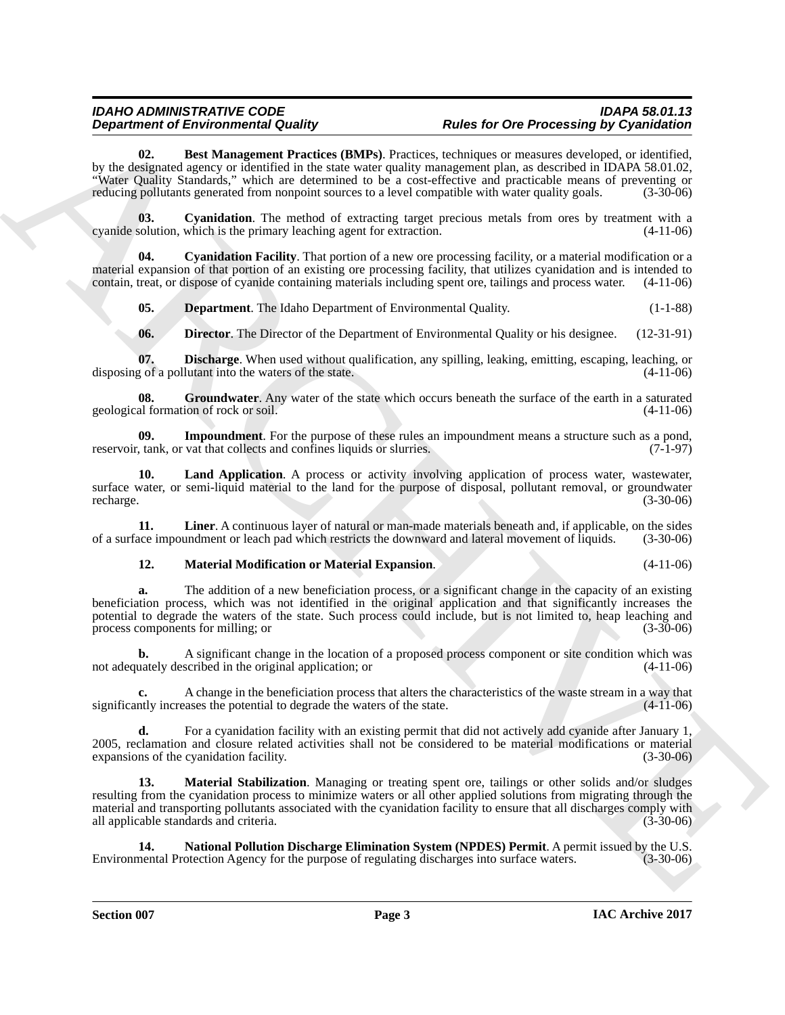<span id="page-2-0"></span>**02. Best Management Practices (BMPs)**. Practices, techniques or measures developed, or identified, by the designated agency or identified in the state water quality management plan, as described in IDAPA 58.01.02, "Water Quality Standards," which are determined to be a cost-effective and practicable means of preventing or reducing pollutants generated from nonpoint sources to a level compatible with water quality goals. (3-30-06)

<span id="page-2-1"></span>**03.** Cyanidation. The method of extracting target precious metals from ores by treatment with a solution, which is the primary leaching agent for extraction. (4-11-06) cyanide solution, which is the primary leaching agent for extraction.

**04. Cyanidation Facility**. That portion of a new ore processing facility, or a material modification or a material expansion of that portion of an existing ore processing facility, that utilizes cyanidation and is intended to contain, treat, or dispose of cyanide containing materials including spent ore, tailings and process water. (4-11-06)

<span id="page-2-3"></span><span id="page-2-2"></span>**05. Department**. The Idaho Department of Environmental Quality. (1-1-88)

<span id="page-2-6"></span><span id="page-2-5"></span><span id="page-2-4"></span>**06. Director**. The Director of the Department of Environmental Quality or his designee. (12-31-91)

**07. Discharge**. When used without qualification, any spilling, leaking, emitting, escaping, leaching, or of a pollutant into the waters of the state. (4-11-06) disposing of a pollutant into the waters of the state.

**08.** Groundwater. Any water of the state which occurs beneath the surface of the earth in a saturated al formation of rock or soil. (4-11-06) geological formation of rock or soil.

<span id="page-2-7"></span>**09.** Impoundment. For the purpose of these rules an impoundment means a structure such as a pond, tank, or vat that collects and confines liquids or slurries. (7-1-97) reservoir, tank, or vat that collects and confines liquids or slurries.

<span id="page-2-8"></span>**10. Land Application**. A process or activity involving application of process water, wastewater, surface water, or semi-liquid material to the land for the purpose of disposal, pollutant removal, or groundwater recharge. (3-30-06) recharge. (3-30-06)

**11.** Liner. A continuous layer of natural or man-made materials beneath and, if applicable, on the sides ace impoundment or leach pad which restricts the downward and lateral movement of liquids. (3-30-06) of a surface impoundment or leach pad which restricts the downward and lateral movement of liquids.

### <span id="page-2-10"></span><span id="page-2-9"></span>**12. Material Modification or Material Expansion**. (4-11-06)

**a.** The addition of a new beneficiation process, or a significant change in the capacity of an existing beneficiation process, which was not identified in the original application and that significantly increases the potential to degrade the waters of the state. Such process could include, but is not limited to, heap leaching and process components for milling; or (3-30-06) process components for milling; or (3-30-06)

**b.** A significant change in the location of a proposed process component or site condition which was uately described in the original application: or not adequately described in the original application; or

A change in the beneficiation process that alters the characteristics of the waste stream in a way that asses the potential to degrade the waters of the state. (4-11-06) significantly increases the potential to degrade the waters of the state.

<span id="page-2-11"></span>**d.** For a cyanidation facility with an existing permit that did not actively add cyanide after January 1, 2005, reclamation and closure related activities shall not be considered to be material modifications or material expansions of the cyanidation facility. (3-30-06)

**Department of Environmental Castles. Prophetical Castles and Castles and Castles and Castles and Castles and Castles and Castles and Castles and Castles and Castles and Castles and Castles and Castles and Castles and C 13. Material Stabilization**. Managing or treating spent ore, tailings or other solids and/or sludges resulting from the cyanidation process to minimize waters or all other applied solutions from migrating through the material and transporting pollutants associated with the cyanidation facility to ensure that all discharges comply with all applicable standards and criteria. (3-30-06)

<span id="page-2-12"></span>**14. National Pollution Discharge Elimination System (NPDES) Permit**. A permit issued by the U.S. nental Protection Agency for the purpose of regulating discharges into surface waters. (3-30-06) Environmental Protection Agency for the purpose of regulating discharges into surface waters.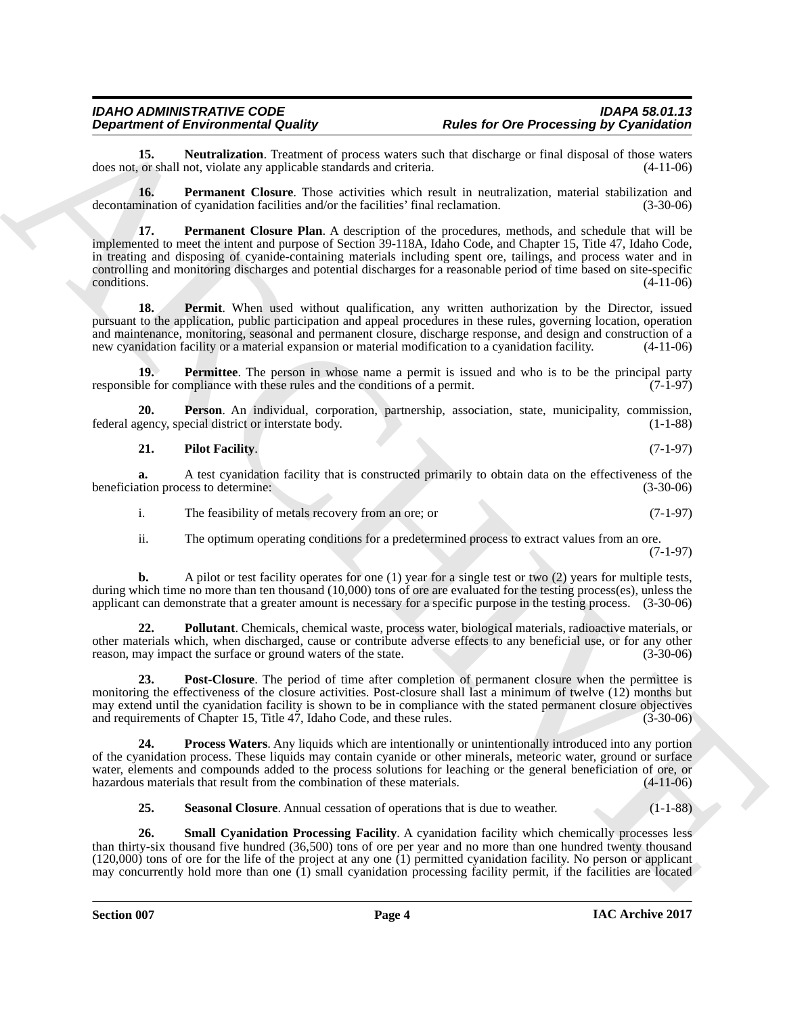<span id="page-3-0"></span>**15. Neutralization**. Treatment of process waters such that discharge or final disposal of those waters or shall not, violate any applicable standards and criteria. (4-11-06) does not, or shall not, violate any applicable standards and criteria.

<span id="page-3-2"></span><span id="page-3-1"></span>**16. Permanent Closure**. Those activities which result in neutralization, material stabilization and decontamination of cyanidation facilities and/or the facilities' final reclamation. (3-30-06)

**Department of Environmental Costary and the for One Processing by Cyannelisines<br>
Archives the cyanometric school of the state of One Processing by Cyannelisine<br>
Archives and Costar School of the School of the School of t 17. Permanent Closure Plan**. A description of the procedures, methods, and schedule that will be implemented to meet the intent and purpose of Section 39-118A, Idaho Code, and Chapter 15, Title 47, Idaho Code, in treating and disposing of cyanide-containing materials including spent ore, tailings, and process water and in controlling and monitoring discharges and potential discharges for a reasonable period of time based on site-specific conditions.  $(4-11-06)$ 

<span id="page-3-3"></span>**18. Permit**. When used without qualification, any written authorization by the Director, issued pursuant to the application, public participation and appeal procedures in these rules, governing location, operation and maintenance, monitoring, seasonal and permanent closure, discharge response, and design and construction of a new cyanidation facility or a material expansion or material modification to a cyanidation facility. (4-11-06)

<span id="page-3-4"></span>**19. Permittee**. The person in whose name a permit is issued and who is to be the principal party responsible for compliance with these rules and the conditions of a permit. (7-1-97)

**20. Person**. An individual, corporation, partnership, association, state, municipality, commission, federal agency, special district or interstate body.

<span id="page-3-6"></span><span id="page-3-5"></span>

| 21. | <b>Pilot Facility.</b> | $(7-1-97)$ |  |
|-----|------------------------|------------|--|
|-----|------------------------|------------|--|

**a.** A test cyanidation facility that is constructed primarily to obtain data on the effectiveness of the tion process to determine: (3-30-06) beneficiation process to determine:

i. The feasibility of metals recovery from an ore; or (7-1-97)

<span id="page-3-7"></span>ii. The optimum operating conditions for a predetermined process to extract values from an ore. (7-1-97)

**b.** A pilot or test facility operates for one (1) year for a single test or two (2) years for multiple tests, during which time no more than ten thousand (10,000) tons of ore are evaluated for the testing process(es), unless the applicant can demonstrate that a greater amount is necessary for a specific purpose in the testing process. (3-30-06)

**22.** Pollutant. Chemicals, chemical waste, process water, biological materials, radioactive materials, or other materials which, when discharged, cause or contribute adverse effects to any beneficial use, or for any other reason, may impact the surface or ground waters of the state.

<span id="page-3-8"></span>**23. Post-Closure**. The period of time after completion of permanent closure when the permittee is monitoring the effectiveness of the closure activities. Post-closure shall last a minimum of twelve (12) months but may extend until the cyanidation facility is shown to be in compliance with the stated permanent closure objectives and requirements of Chapter 15, Title 47, Idaho Code, and these rules. (3-30-06) and requirements of Chapter 15, Title 47, Idaho Code, and these rules.

**24. Process Waters**. Any liquids which are intentionally or unintentionally introduced into any portion of the cyanidation process. These liquids may contain cyanide or other minerals, meteoric water, ground or surface water, elements and compounds added to the process solutions for leaching or the general beneficiation of ore, or hazardous materials that result from the combination of these materials. (4-11-06) hazardous materials that result from the combination of these materials.

<span id="page-3-11"></span><span id="page-3-10"></span><span id="page-3-9"></span>**25. Seasonal Closure**. Annual cessation of operations that is due to weather. (1-1-88)

**26. Small Cyanidation Processing Facility**. A cyanidation facility which chemically processes less than thirty-six thousand five hundred (36,500) tons of ore per year and no more than one hundred twenty thousand  $(120,000)$  tons of ore for the life of the project at any one  $(1)$  permitted cyanidation facility. No person or applicant may concurrently hold more than one (1) small cyanidation processing facility permit, if the facilities are located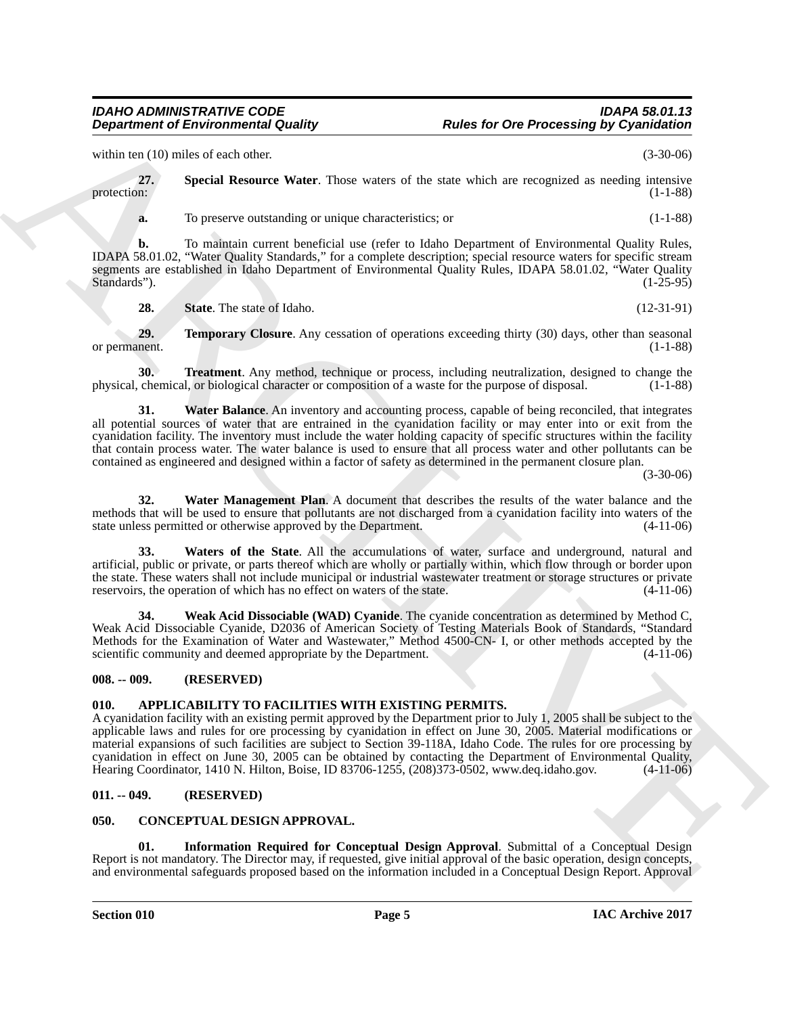within ten (10) miles of each other. (3-30-06)

**27. Special Resource Water**. Those waters of the state which are recognized as needing intensive protection: (1-1-88) protection: (1-1-88)

<span id="page-4-6"></span>**a.** To preserve outstanding or unique characteristics; or  $(1-1-88)$ 

**b.** To maintain current beneficial use (refer to Idaho Department of Environmental Quality Rules, IDAPA 58.01.02, "Water Quality Standards," for a complete description; special resource waters for specific stream segments are established in Idaho Department of Environmental Quality Rules, IDAPA 58.01.02, "Water Quality Standards").  $(1-25-95)$ 

<span id="page-4-9"></span><span id="page-4-8"></span><span id="page-4-7"></span>**28.** State. The state of Idaho. (12-31-91)

**29. Temporary Closure**. Any cessation of operations exceeding thirty (30) days, other than seasonal nent. (1-1-88) or permanent.

**30. Treatment**. Any method, technique or process, including neutralization, designed to change the physical, chemical, or biological character or composition of a waste for the purpose of disposal. (1-1-88)

<span id="page-4-10"></span>**31. Water Balance**. An inventory and accounting process, capable of being reconciled, that integrates all potential sources of water that are entrained in the cyanidation facility or may enter into or exit from the cyanidation facility. The inventory must include the water holding capacity of specific structures within the facility that contain process water. The water balance is used to ensure that all process water and other pollutants can be contained as engineered and designed within a factor of safety as determined in the permanent closure plan.

(3-30-06)

<span id="page-4-11"></span>**32. Water Management Plan**. A document that describes the results of the water balance and the methods that will be used to ensure that pollutants are not discharged from a cyanidation facility into waters of the state unless permitted or otherwise approved by the Department. (4-11-06)

<span id="page-4-12"></span>**33. Waters of the State**. All the accumulations of water, surface and underground, natural and artificial, public or private, or parts thereof which are wholly or partially within, which flow through or border upon the state. These waters shall not include municipal or industrial wastewater treatment or storage structures or private reservoirs, the operation of which has no effect on waters of the state.  $(4-11-06)$ reservoirs, the operation of which has no effect on waters of the state.

<span id="page-4-13"></span>**34. Weak Acid Dissociable (WAD) Cyanide**. The cyanide concentration as determined by Method C, Weak Acid Dissociable Cyanide, D2036 of American Society of Testing Materials Book of Standards, "Standard Methods for the Examination of Water and Wastewater," Method 4500-CN- I, or other methods accepted by the scientific community and deemed appropriate by the Department. (4-11-06) scientific community and deemed appropriate by the Department.

### <span id="page-4-0"></span>**008. -- 009. (RESERVED)**

# <span id="page-4-4"></span><span id="page-4-1"></span>**010. APPLICABILITY TO FACILITIES WITH EXISTING PERMITS.**

**Department of Environmental Guality Rules for One Processing by Cyannelistics contains the control of the state of the state of the state of the state of the state of the state of the state of the state of the state of t** A cyanidation facility with an existing permit approved by the Department prior to July 1, 2005 shall be subject to the applicable laws and rules for ore processing by cyanidation in effect on June 30, 2005. Material modifications or material expansions of such facilities are subject to Section 39-118A, Idaho Code. The rules for ore processing by cyanidation in effect on June 30, 2005 can be obtained by contacting the Department of Environmental Quality,<br>Hearing Coordinator, 1410 N. Hilton, Boise, ID 83706-1255, (208)373-0502, www.deq.idaho.gov. (4-11-06) Hearing Coordinator, 1410 N. Hilton, Boise, ID 83706-1255,  $(208)373-0502$ , www.deq.idaho.gov.

### <span id="page-4-2"></span>**011. -- 049. (RESERVED)**

### <span id="page-4-3"></span>**050. CONCEPTUAL DESIGN APPROVAL.**

<span id="page-4-5"></span>**01. Information Required for Conceptual Design Approval**. Submittal of a Conceptual Design Report is not mandatory. The Director may, if requested, give initial approval of the basic operation, design concepts, and environmental safeguards proposed based on the information included in a Conceptual Design Report. Approval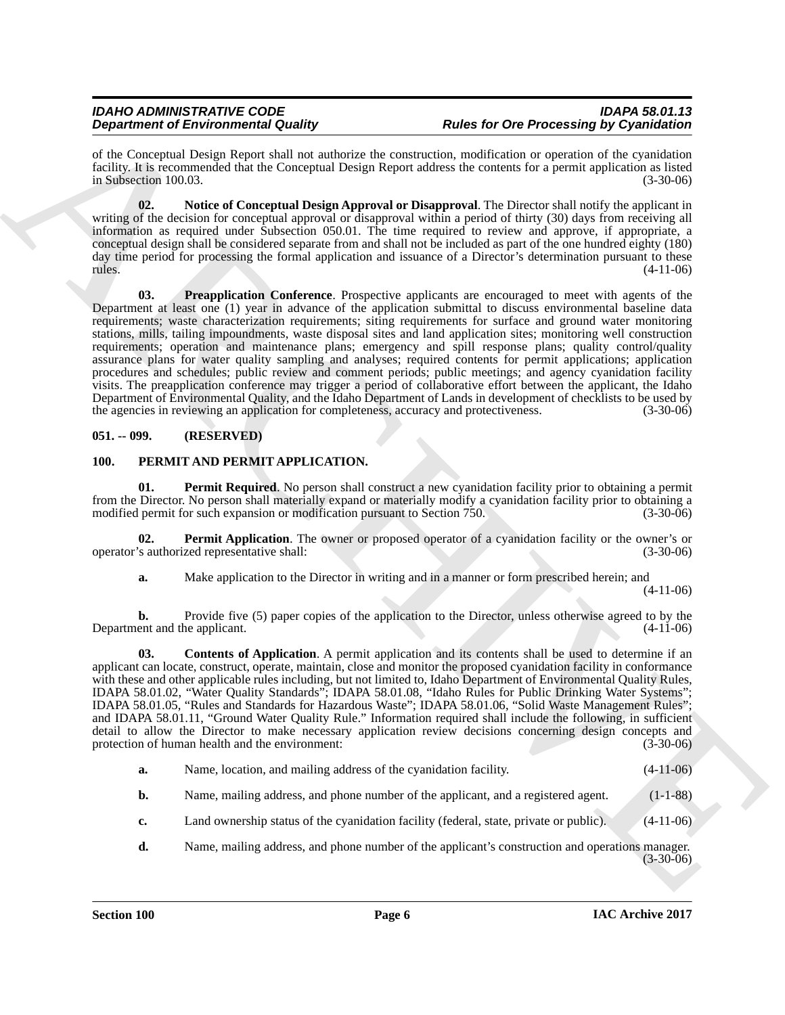of the Conceptual Design Report shall not authorize the construction, modification or operation of the cyanidation facility. It is recommended that the Conceptual Design Report address the contents for a permit application as listed in Subsection 100.03.

<span id="page-5-3"></span><span id="page-5-2"></span>**02. Notice of Conceptual Design Approval or Disapproval**. The Director shall notify the applicant in writing of the decision for conceptual approval or disapproval within a period of thirty (30) days from receiving all information as required under Subsection 050.01. The time required to review and approve, if appropriate, a conceptual design shall be considered separate from and shall not be included as part of the one hundred eighty (180) day time period for processing the formal application and issuance of a Director's determination pursuant to these  $r = (4-11-06)$ 

**Dependent of Environmental Country of Relative Country in the Country of Relative Country (September)**<br>
A the Country and Dependent of the Country of Relative Country of the Country of Country of Country of Country of Co **03. Preapplication Conference**. Prospective applicants are encouraged to meet with agents of the Department at least one (1) year in advance of the application submittal to discuss environmental baseline data requirements; waste characterization requirements; siting requirements for surface and ground water monitoring stations, mills, tailing impoundments, waste disposal sites and land application sites; monitoring well construction requirements; operation and maintenance plans; emergency and spill response plans; quality control/quality assurance plans for water quality sampling and analyses; required contents for permit applications; application procedures and schedules; public review and comment periods; public meetings; and agency cyanidation facility visits. The preapplication conference may trigger a period of collaborative effort between the applicant, the Idaho Department of Environmental Quality, and the Idaho Department of Lands in development of checklists to be used by the agencies in reviewing an application for completeness, accuracy and protectiveness. (3-30-06)

# <span id="page-5-0"></span>**051. -- 099. (RESERVED)**

# <span id="page-5-4"></span><span id="page-5-1"></span>**100. PERMIT AND PERMIT APPLICATION.**

<span id="page-5-7"></span>**01. Permit Required**. No person shall construct a new cyanidation facility prior to obtaining a permit from the Director. No person shall materially expand or materially modify a cyanidation facility prior to obtaining a modified permit for such expansion or modification pursuant to Section 750. (3-30-06) (3-30-06)

**02. Permit Application**. The owner or proposed operator of a cyanidation facility or the owner's or <br>
(3-30-06) (3-30-06) operator's authorized representative shall:

<span id="page-5-6"></span><span id="page-5-5"></span>**a.** Make application to the Director in writing and in a manner or form prescribed herein; and

(4-11-06)

**b.** Provide five (5) paper copies of the application to the Director, unless otherwise agreed to by the ent and the applicant. (4-11-06) Department and the applicant.

**03. Contents of Application**. A permit application and its contents shall be used to determine if an applicant can locate, construct, operate, maintain, close and monitor the proposed cyanidation facility in conformance with these and other applicable rules including, but not limited to, Idaho Department of Environmental Quality Rules, IDAPA 58.01.02, "Water Quality Standards"; IDAPA 58.01.08, "Idaho Rules for Public Drinking Water Systems"; IDAPA 58.01.05, "Rules and Standards for Hazardous Waste"; IDAPA 58.01.06, "Solid Waste Management Rules"; and IDAPA 58.01.11, "Ground Water Quality Rule." Information required shall include the following, in sufficient detail to allow the Director to make necessary application review decisions concerning design concepts and protection of human health and the environment: (3-30-06) (3-30-06)

| а. | Name, location, and mailing address of the cyanidation facility. | $(4-11-06)$ |
|----|------------------------------------------------------------------|-------------|
|----|------------------------------------------------------------------|-------------|

- **b.** Name, mailing address, and phone number of the applicant, and a registered agent. (1-1-88)
- **c.** Land ownership status of the cyanidation facility (federal, state, private or public). (4-11-06)
- **d.** Name, mailing address, and phone number of the applicant's construction and operations manager.  $(3-30-06)$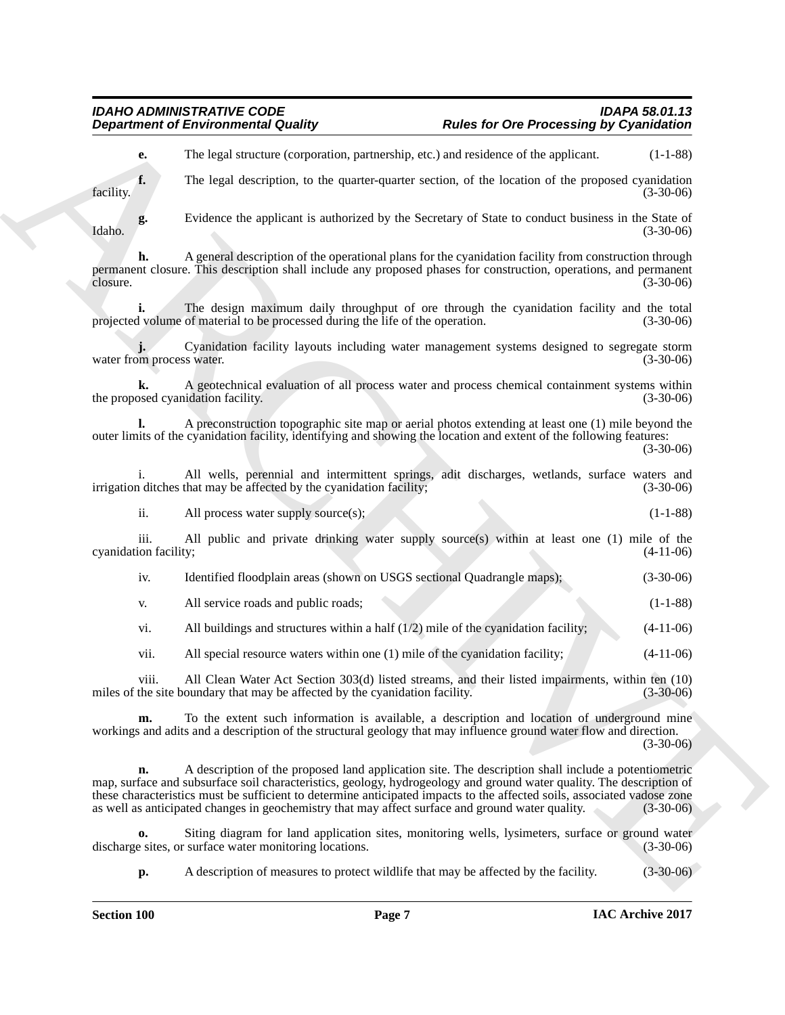# *IDAHO ADMINISTRATIVE CODE IDAPA 58.01.13 Rules for Ore Processing by Cyanidation*

**e.** The legal structure (corporation, partnership, etc.) and residence of the applicant. (1-1-88)

**f.** The legal description, to the quarter-quarter section, of the location of the proposed cyanidation facility. (3-30-06)

**g.** Evidence the applicant is authorized by the Secretary of State to conduct business in the State of Idaho. (3-30-06)

**h.** A general description of the operational plans for the cyanidation facility from construction through permanent closure. This description shall include any proposed phases for construction, operations, and permanent closure. (3-30-06)

**i.** The design maximum daily throughput of ore through the cyanidation facility and the total volume of material to be processed during the life of the operation. (3-30-06) projected volume of material to be processed during the life of the operation.

**j.** Cyanidation facility layouts including water management systems designed to segregate storm water from process water.

**k.** A geotechnical evaluation of all process water and process chemical containment systems within the proposed cyanidation facility.

**l.** A preconstruction topographic site map or aerial photos extending at least one (1) mile beyond the outer limits of the cyanidation facility, identifying and showing the location and extent of the following features:

(3-30-06)

i. All wells, perennial and intermittent springs, adit discharges, wetlands, surface waters and indiches that may be affected by the cyanidation facility; (3-30-06) irrigation ditches that may be affected by the cyanidation facility;

ii. All process water supply source(s); (1-1-88)

iii. All public and private drinking water supply source(s) within at least one (1) mile of the ion facility; (4-11-06) cyanidation facility;

iv. Identified floodplain areas (shown on USGS sectional Quadrangle maps); (3-30-06)

v. All service roads and public roads; (1-1-88)

vi. All buildings and structures within a half  $(1/2)$  mile of the cyanidation facility;  $(4-11-06)$ 

vii. All special resource waters within one (1) mile of the cyanidation facility; (4-11-06)

viii. All Clean Water Act Section 303(d) listed streams, and their listed impairments, within ten (10) miles of the site boundary that may be affected by the cyanidation facility. (3-30-06)

**m.** To the extent such information is available, a description and location of underground mine workings and adits and a description of the structural geology that may influence ground water flow and direction. (3-30-06)

**Department of Environmental Country. Rules for One Processing by Cyannelistins**<br> **A.** This legal society expection, particularly, with exact and the symptoms of the symptoms of the symptoms of the symptoms of the sympt **n.** A description of the proposed land application site. The description shall include a potentiometric map, surface and subsurface soil characteristics, geology, hydrogeology and ground water quality. The description of these characteristics must be sufficient to determine anticipated impacts to the affected soils, associated vadose zone as well as anticipated changes in geochemistry that may affect surface and ground water quality. (3-30-06)

**o.** Siting diagram for land application sites, monitoring wells, lysimeters, surface or ground water e sites, or surface water monitoring locations. (3-30-06) discharge sites, or surface water monitoring locations.

**p.** A description of measures to protect wildlife that may be affected by the facility. (3-30-06)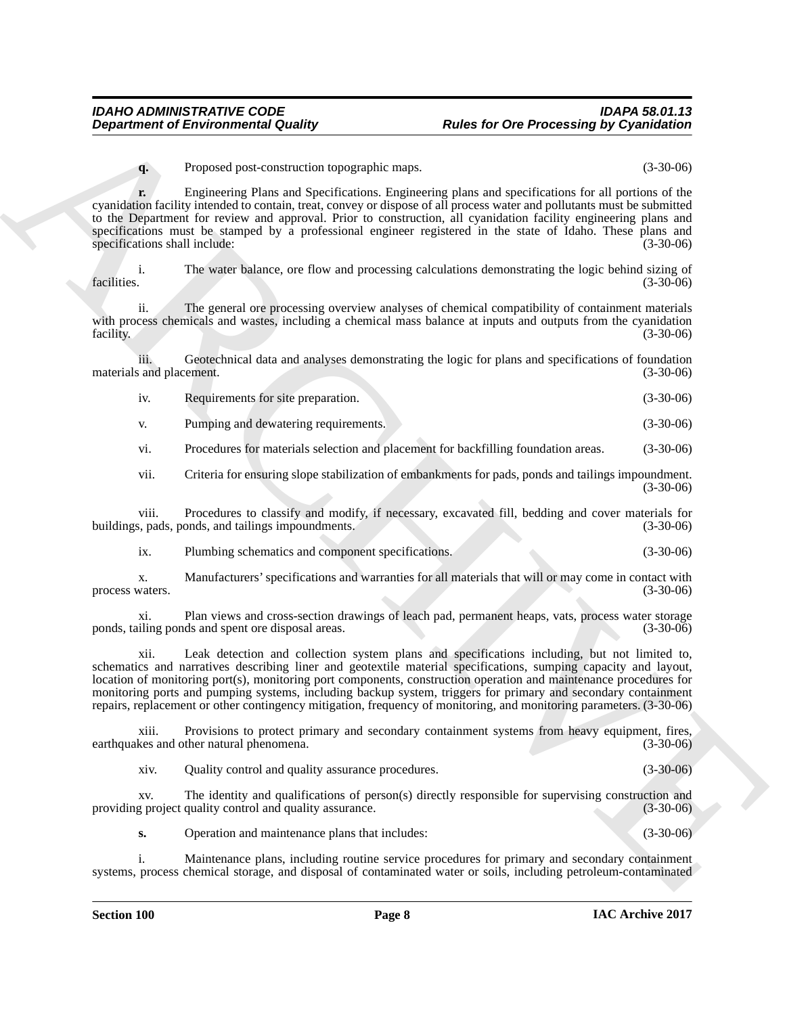**q.** Proposed post-construction topographic maps. (3-30-06)

**Department of Environmental Guality Rules for Ore Processing By Cyanolation<br>
Consider the Cyanolation Consider the Cyanolation Consider the Cyanolation Consider the Cyanolation Consider the Cyanolation Consider the Cyano r.** Engineering Plans and Specifications. Engineering plans and specifications for all portions of the cyanidation facility intended to contain, treat, convey or dispose of all process water and pollutants must be submitted to the Department for review and approval. Prior to construction, all cyanidation facility engineering plans and specifications must be stamped by a professional engineer registered in the state of Idaho. These plans and specifications shall include: (3-30-06)

i. The water balance, ore flow and processing calculations demonstrating the logic behind sizing of facilities. (3-30-06) facilities. (3-30-06)

ii. The general ore processing overview analyses of chemical compatibility of containment materials with process chemicals and wastes, including a chemical mass balance at inputs and outputs from the cyanidation facility. (3-30-06)

iii. Geotechnical data and analyses demonstrating the logic for plans and specifications of foundation materials and placement.

| 1V. | Requirements for site preparation. |  |  | $(3-30-06)$ |
|-----|------------------------------------|--|--|-------------|
|-----|------------------------------------|--|--|-------------|

v. Pumping and dewatering requirements. (3-30-06)

vi. Procedures for materials selection and placement for backfilling foundation areas. (3-30-06)

vii. Criteria for ensuring slope stabilization of embankments for pads, ponds and tailings impoundment. (3-30-06)

viii. Procedures to classify and modify, if necessary, excavated fill, bedding and cover materials for buildings, pads, ponds, and tailings impoundments. (3-30-06) (3-30-06)

ix. Plumbing schematics and component specifications. (3-30-06)

x. Manufacturers' specifications and warranties for all materials that will or may come in contact with process waters.

xi. Plan views and cross-section drawings of leach pad, permanent heaps, vats, process water storage ponds, tailing ponds and spent ore disposal areas. (3-30-06)

xii. Leak detection and collection system plans and specifications including, but not limited to, schematics and narratives describing liner and geotextile material specifications, sumping capacity and layout, location of monitoring port(s), monitoring port components, construction operation and maintenance procedures for monitoring ports and pumping systems, including backup system, triggers for primary and secondary containment repairs, replacement or other contingency mitigation, frequency of monitoring, and monitoring parameters. (3-30-06)

xiii. Provisions to protect primary and secondary containment systems from heavy equipment, fires, earthquakes and other natural phenomena. (3-30-06)

xiv. Quality control and quality assurance procedures. (3-30-06)

xv. The identity and qualifications of person(s) directly responsible for supervising construction and providing project quality control and quality assurance. (3-30-06)

**s.** Operation and maintenance plans that includes: (3-30-06)

i. Maintenance plans, including routine service procedures for primary and secondary containment systems, process chemical storage, and disposal of contaminated water or soils, including petroleum-contaminated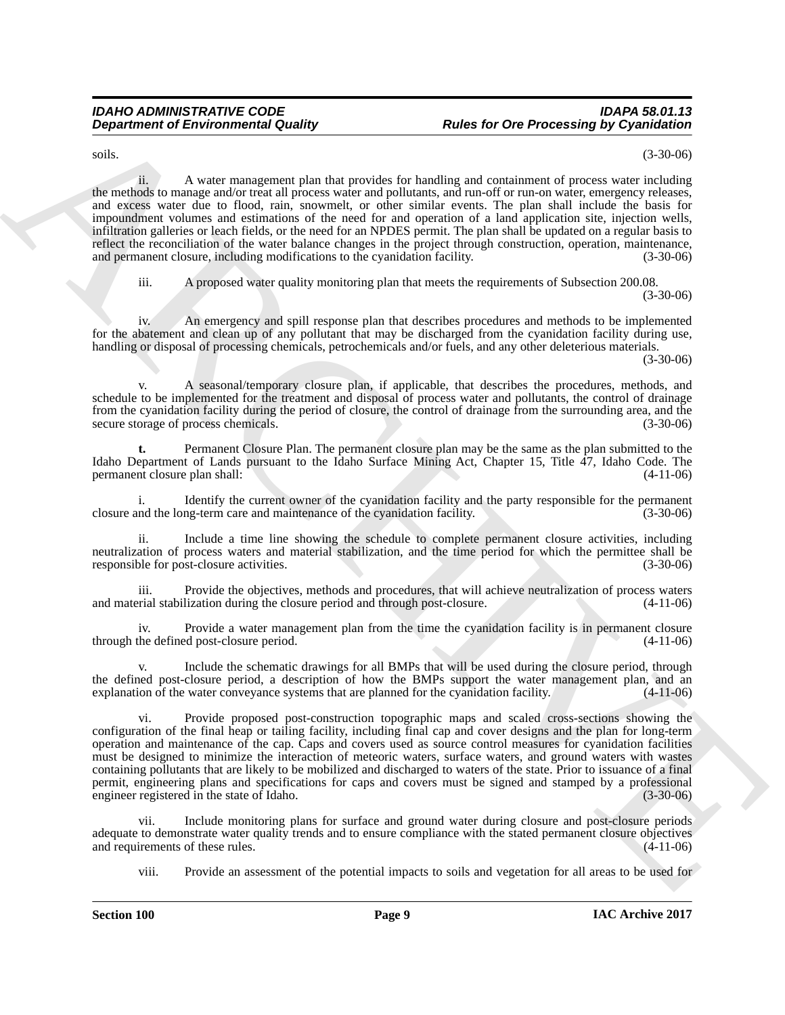soils. (3-30-06)

**Department of Environmental Guality (a)**<br>
Solution of the state of the state of the base of the state of the control of the state of the state of the state of the state of the state of the state of the state of the state ii. A water management plan that provides for handling and containment of process water including the methods to manage and/or treat all process water and pollutants, and run-off or run-on water, emergency releases, and excess water due to flood, rain, snowmelt, or other similar events. The plan shall include the basis for impoundment volumes and estimations of the need for and operation of a land application site, injection wells, infiltration galleries or leach fields, or the need for an NPDES permit. The plan shall be updated on a regular basis to reflect the reconciliation of the water balance changes in the project through construction, operation, maintenance, and permanent closure, including modifications to the cyanidation facility. (3-30-06)

iii. A proposed water quality monitoring plan that meets the requirements of Subsection 200.08. (3-30-06)

iv. An emergency and spill response plan that describes procedures and methods to be implemented for the abatement and clean up of any pollutant that may be discharged from the cyanidation facility during use, handling or disposal of processing chemicals, petrochemicals and/or fuels, and any other deleterious materials.

(3-30-06)

A seasonal/temporary closure plan, if applicable, that describes the procedures, methods, and schedule to be implemented for the treatment and disposal of process water and pollutants, the control of drainage from the cyanidation facility during the period of closure, the control of drainage from the surrounding area, and the secure storage of process chemicals. (3-30-06) secure storage of process chemicals.

**t.** Permanent Closure Plan. The permanent closure plan may be the same as the plan submitted to the Idaho Department of Lands pursuant to the Idaho Surface Mining Act, Chapter 15, Title 47, Idaho Code. The permanent closure plan shall:

i. Identify the current owner of the cyanidation facility and the party responsible for the permanent closure and the long-term care and maintenance of the cyanidation facility. (3-30-06)

ii. Include a time line showing the schedule to complete permanent closure activities, including neutralization of process waters and material stabilization, and the time period for which the permittee shall be responsible for post-closure activities. (3-30-06)

iii. Provide the objectives, methods and procedures, that will achieve neutralization of process waters and material stabilization during the closure period and through post-closure.

iv. Provide a water management plan from the time the cyanidation facility is in permanent closure through the defined post-closure period. (4-11-06)

Include the schematic drawings for all BMPs that will be used during the closure period, through the defined post-closure period, a description of how the BMPs support the water management plan, and an explanation of the water conveyance systems that are planned for the cyanidation facility. (4-11-06)

vi. Provide proposed post-construction topographic maps and scaled cross-sections showing the configuration of the final heap or tailing facility, including final cap and cover designs and the plan for long-term operation and maintenance of the cap. Caps and covers used as source control measures for cyanidation facilities must be designed to minimize the interaction of meteoric waters, surface waters, and ground waters with wastes containing pollutants that are likely to be mobilized and discharged to waters of the state. Prior to issuance of a final permit, engineering plans and specifications for caps and covers must be signed and stamped by a professional engineer registered in the state of Idaho. (3-30-06) engineer registered in the state of Idaho.

vii. Include monitoring plans for surface and ground water during closure and post-closure periods adequate to demonstrate water quality trends and to ensure compliance with the stated permanent closure objectives and requirements of these rules. (4-11-06) and requirements of these rules.

viii. Provide an assessment of the potential impacts to soils and vegetation for all areas to be used for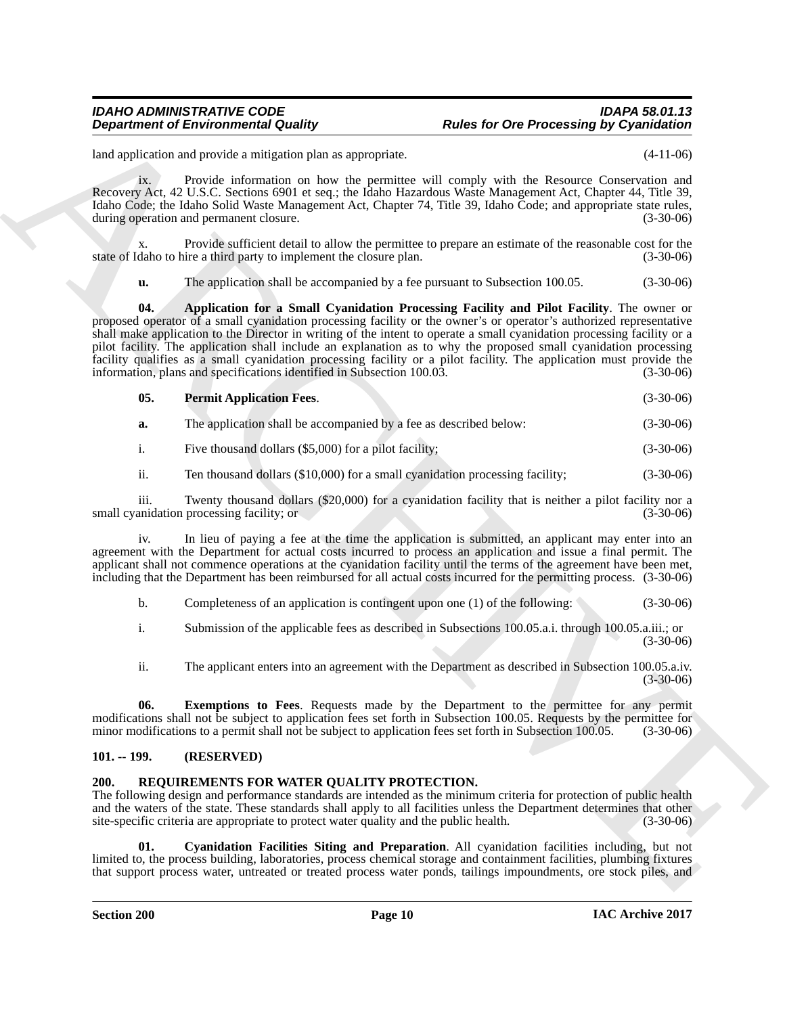### *IDAHO ADMINISTRATIVE CODE IDAPA 58.01.13 Rules for Ore Processing by Cyanidation*

land application and provide a mitigation plan as appropriate. (4-11-06)

ix. Provide information on how the permittee will comply with the Resource Conservation and Recovery Act, 42 U.S.C. Sections 6901 et seq.; the Idaho Hazardous Waste Management Act, Chapter 44, Title 39, Idaho Code; the Idaho Solid Waste Management Act, Chapter 74, Title 39, Idaho Code; and appropriate state rules, during operation and permanent closure. (3-30-06) (3-30-06)

x. Provide sufficient detail to allow the permittee to prepare an estimate of the reasonable cost for the daho to hire a third party to implement the closure plan. (3-30-06) state of Idaho to hire a third party to implement the closure plan.

<span id="page-9-2"></span>**u.** The application shall be accompanied by a fee pursuant to Subsection 100.05. (3-30-06)

**Department of Environmental Guality ...** Rules for One Processing By Cyannelisines<br>
had spin-oriental mail spin-oriental mail spin-oriental mail spin-oriental mail spin-oriental mail spin-oriental mail spin-oriental mail **04. Application for a Small Cyanidation Processing Facility and Pilot Facility**. The owner or proposed operator of a small cyanidation processing facility or the owner's or operator's authorized representative shall make application to the Director in writing of the intent to operate a small cyanidation processing facility or a pilot facility. The application shall include an explanation as to why the proposed small cyanidation processing facility qualifies as a small cyanidation processing facility or a pilot facility. The application must provide the information, plans and specifications identified in Subsection 100.03. information, plans and specifications identified in Subsection 100.03.

<span id="page-9-4"></span>

| 05. | <b>Permit Application Fees.</b> |  | $(3-30-06)$ |
|-----|---------------------------------|--|-------------|
|-----|---------------------------------|--|-------------|

| a. |  | The application shall be accompanied by a fee as described below: | $(3-30-06)$ |
|----|--|-------------------------------------------------------------------|-------------|
|----|--|-------------------------------------------------------------------|-------------|

i. Five thousand dollars (\$5,000) for a pilot facility; (3-30-06)

ii. Ten thousand dollars (\$10,000) for a small cyanidation processing facility; (3-30-06)

iii. Twenty thousand dollars (\$20,000) for a cyanidation facility that is neither a pilot facility nor a small cyanidation processing facility; or (3-30-06)

iv. In lieu of paying a fee at the time the application is submitted, an applicant may enter into an agreement with the Department for actual costs incurred to process an application and issue a final permit. The applicant shall not commence operations at the cyanidation facility until the terms of the agreement have been met, including that the Department has been reimbursed for all actual costs incurred for the permitting process. (3-30-06)

b. Completeness of an application is contingent upon one (1) of the following: (3-30-06)

i. Submission of the applicable fees as described in Subsections 100.05.a.i. through 100.05.a.iii.; or (3-30-06)

<span id="page-9-3"></span>ii. The applicant enters into an agreement with the Department as described in Subsection 100.05.a.iv. (3-30-06)

**06.** Exemptions to Fees. Requests made by the Department to the permittee for any permit modifications shall not be subject to application fees set forth in Subsection 100.05. Requests by the permittee for minor modifications to a permit shall not be subject to application fees set forth in Subsection 100.05. minor modifications to a permit shall not be subject to application fees set forth in Subsection 100.05.

### <span id="page-9-0"></span>**101. -- 199. (RESERVED)**

### <span id="page-9-5"></span><span id="page-9-1"></span>**200. REQUIREMENTS FOR WATER QUALITY PROTECTION.**

The following design and performance standards are intended as the minimum criteria for protection of public health and the waters of the state. These standards shall apply to all facilities unless the Department determines that other site-specific criteria are appropriate to protect water quality and the public health. (3-30-06)

<span id="page-9-6"></span>**01. Cyanidation Facilities Siting and Preparation**. All cyanidation facilities including, but not limited to, the process building, laboratories, process chemical storage and containment facilities, plumbing fixtures that support process water, untreated or treated process water ponds, tailings impoundments, ore stock piles, and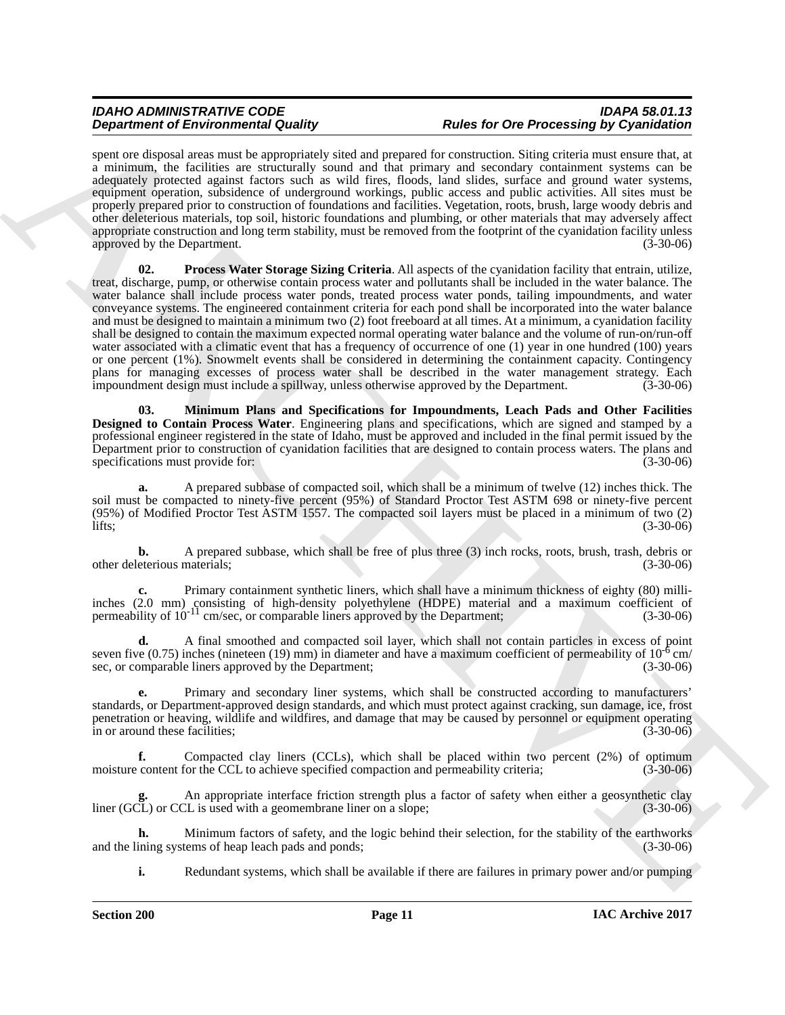<span id="page-10-1"></span>spent ore disposal areas must be appropriately sited and prepared for construction. Siting criteria must ensure that, at a minimum, the facilities are structurally sound and that primary and secondary containment systems can be adequately protected against factors such as wild fires, floods, land slides, surface and ground water systems, equipment operation, subsidence of underground workings, public access and public activities. All sites must be properly prepared prior to construction of foundations and facilities. Vegetation, roots, brush, large woody debris and other deleterious materials, top soil, historic foundations and plumbing, or other materials that may adversely affect appropriate construction and long term stability, must be removed from the footprint of the cyanidation facility unless approved by the Department. (3-30-06)

**Dependent of Environmental Guality in the Research of Desert O'Chemical Constraints in the stationary and the stationary of the stationary and the stationary and the stationary and the stationary and the stationary and t 02. Process Water Storage Sizing Criteria**. All aspects of the cyanidation facility that entrain, utilize, treat, discharge, pump, or otherwise contain process water and pollutants shall be included in the water balance. The water balance shall include process water ponds, treated process water ponds, tailing impoundments, and water conveyance systems. The engineered containment criteria for each pond shall be incorporated into the water balance and must be designed to maintain a minimum two (2) foot freeboard at all times. At a minimum, a cyanidation facility shall be designed to contain the maximum expected normal operating water balance and the volume of run-on/run-off water associated with a climatic event that has a frequency of occurrence of one (1) year in one hundred (100) years or one percent (1%). Snowmelt events shall be considered in determining the containment capacity. Contingency plans for managing excesses of process water shall be described in the water management strategy. Each impoundment design must include a spillway, unless otherwise approved by the Department. (3-30-06)

<span id="page-10-0"></span>**03. Minimum Plans and Specifications for Impoundments, Leach Pads and Other Facilities Designed to Contain Process Water**. Engineering plans and specifications, which are signed and stamped by a professional engineer registered in the state of Idaho, must be approved and included in the final permit issued by the Department prior to construction of cyanidation facilities that are designed to contain process waters. The plans and specifications must provide for: (3-30-06)

**a.** A prepared subbase of compacted soil, which shall be a minimum of twelve (12) inches thick. The soil must be compacted to ninety-five percent (95%) of Standard Proctor Test ASTM 698 or ninety-five percent (95%) of Modified Proctor Test ASTM 1557. The compacted soil layers must be placed in a minimum of two (2)  $\frac{1}{15}$ ; (3-30-06)

**b.** A prepared subbase, which shall be free of plus three (3) inch rocks, roots, brush, trash, debris or eterious materials; (3-30-06) other deleterious materials;

**c.** Primary containment synthetic liners, which shall have a minimum thickness of eighty (80) milliinches (2.0 mm) consisting of high-density polyethylene (HDPE) material and a maximum coefficient of permeability of 10<sup>-11</sup> cm/sec, or comparable liners approved by the Department; (3-30-06)

**d.** A final smoothed and compacted soil layer, which shall not contain particles in excess of point seven five (0.75) inches (nineteen (19) mm) in diameter and have a maximum coefficient of permeability of  $10^{-6}$  cm/<br>sec. or comparable liners approved by the Department: (3-30-06) sec, or comparable liners approved by the Department;

**e.** Primary and secondary liner systems, which shall be constructed according to manufacturers' standards, or Department-approved design standards, and which must protect against cracking, sun damage, ice, frost penetration or heaving, wildlife and wildfires, and damage that may be caused by personnel or equipment operating in or around these facilities;

**f.** Compacted clay liners (CCLs), which shall be placed within two percent (2%) of optimum moisture content for the CCL to achieve specified compaction and permeability criteria; (3-30-06)

**g.** An appropriate interface friction strength plus a factor of safety when either a geosynthetic clay liner (GCL) or CCL is used with a geomembrane liner on a slope; (3-30-06)

**h.** Minimum factors of safety, and the logic behind their selection, for the stability of the earthworks ining systems of heap leach pads and ponds; (3-30-06) and the lining systems of heap leach pads and ponds;

**i.** Redundant systems, which shall be available if there are failures in primary power and/or pumping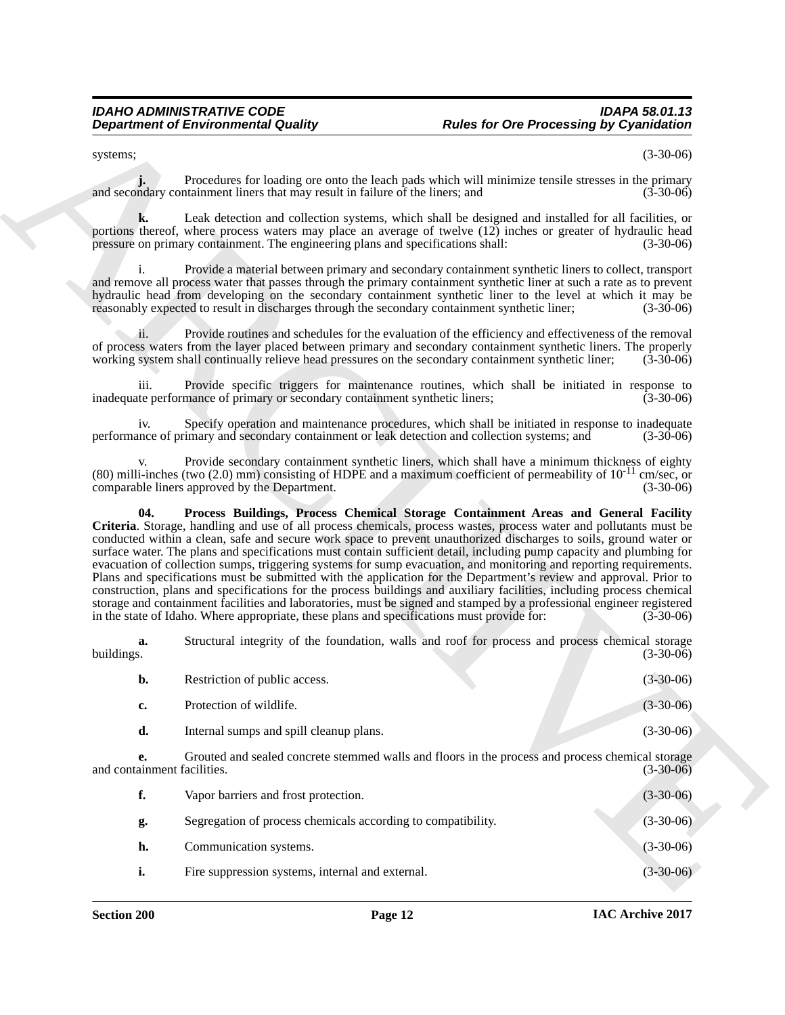systems; (3-30-06)

**j.** Procedures for loading ore onto the leach pads which will minimize tensile stresses in the primary and secondary containment liners that may result in failure of the liners; and (3-30-06)

**k.** Leak detection and collection systems, which shall be designed and installed for all facilities, or portions thereof, where process waters may place an average of twelve (12) inches or greater of hydraulic head pressure on primary containment. The engineering plans and specifications shall: (3-30-06)

i. Provide a material between primary and secondary containment synthetic liners to collect, transport and remove all process water that passes through the primary containment synthetic liner at such a rate as to prevent hydraulic head from developing on the secondary containment synthetic liner to the level at which it may be reasonably expected to result in discharges through the secondary containment synthetic liner: (3-30-06) reasonably expected to result in discharges through the secondary containment synthetic liner;

ii. Provide routines and schedules for the evaluation of the efficiency and effectiveness of the removal of process waters from the layer placed between primary and secondary containment synthetic liners. The properly working system shall continually relieve head pressures on the secondary containment synthetic liner; (3-30-0 working system shall continually relieve head pressures on the secondary containment synthetic liner;

iii. Provide specific triggers for maintenance routines, which shall be initiated in response to inadequate performance of primary or secondary containment synthetic liners; (3-30-06)

iv. Specify operation and maintenance procedures, which shall be initiated in response to inadequate performance of primary and secondary containment or leak detection and collection systems; and

<span id="page-11-0"></span>Provide secondary containment synthetic liners, which shall have a minimum thickness of eighty (80) milli-inches (two (2.0) mm) consisting of HDPE and a maximum coefficient of permeability of  $10^{-11}$  cm/sec, or comparable liners approved by the Department. (3-30-06) comparable liners approved by the Department.

**Department of Environmental Guality (a)** Rules for One Processing By Cyanidation<br>
years. Processing the calibration are control to the state of the state of the state of the state<br>
space of the state of the state of the **04. Process Buildings, Process Chemical Storage Containment Areas and General Facility Criteria**. Storage, handling and use of all process chemicals, process wastes, process water and pollutants must be conducted within a clean, safe and secure work space to prevent unauthorized discharges to soils, ground water or surface water. The plans and specifications must contain sufficient detail, including pump capacity and plumbing for evacuation of collection sumps, triggering systems for sump evacuation, and monitoring and reporting requirements. Plans and specifications must be submitted with the application for the Department's review and approval. Prior to construction, plans and specifications for the process buildings and auxiliary facilities, including process chemical storage and containment facilities and laboratories, must be signed and stamped by a professional engineer registered<br>in the state of Idaho. Where appropriate, these plans and specifications must provide for: (3-30-06) in the state of Idaho. Where appropriate, these plans and specifications must provide for:

**a.** Structural integrity of the foundation, walls and roof for process and process chemical storage buildings.  $(3-30-06)$ buildings. (3-30-06)

| b.                          | Restriction of public access.                                                                    | $(3-30-06)$ |
|-----------------------------|--------------------------------------------------------------------------------------------------|-------------|
| c.                          | Protection of wildlife.                                                                          | $(3-30-06)$ |
| d.                          | Internal sumps and spill cleanup plans.                                                          | $(3-30-06)$ |
| and containment facilities. | Grouted and sealed concrete stemmed walls and floors in the process and process chemical storage | $(3-30-06)$ |

| f. | Vapor barriers and frost protection.                         | $(3-30-06)$ |
|----|--------------------------------------------------------------|-------------|
| g. | Segregation of process chemicals according to compatibility. | $(3-30-06)$ |
| h. | Communication systems.                                       | $(3-30-06)$ |
|    | Fire suppression systems, internal and external.             | $(3-30-06)$ |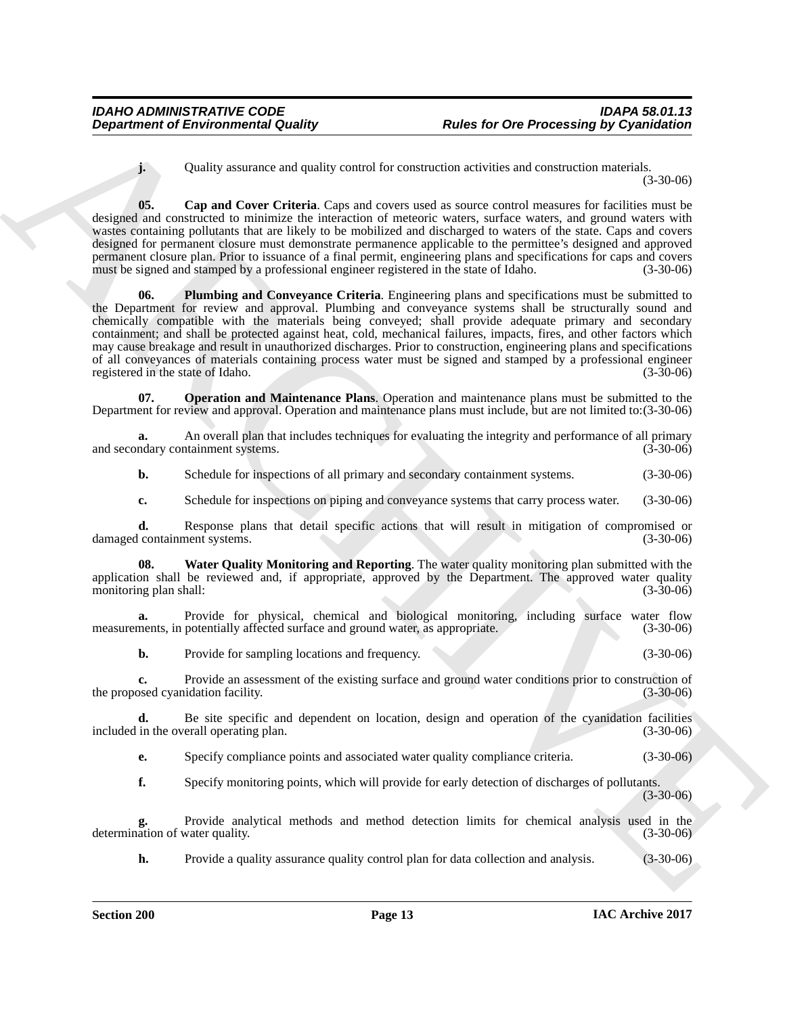<span id="page-12-0"></span>**j.** Quality assurance and quality control for construction activities and construction materials. (3-30-06)

<span id="page-12-2"></span>**05.** Cap and Cover Criteria. Caps and covers used as source control measures for facilities must be designed and constructed to minimize the interaction of meteoric waters, surface waters, and ground waters with wastes containing pollutants that are likely to be mobilized and discharged to waters of the state. Caps and covers designed for permanent closure must demonstrate permanence applicable to the permittee's designed and approved permanent closure plan. Prior to issuance of a final permit, engineering plans and specifications for caps and covers must be signed and stamped by a professional engineer registered in the state of Idaho. (3-30-06)

**Department of Environmental Quality<br>
Could y assessme and quality vented for constraints and verse model and the method and method in the two states in the two states of the constraints and order the constraints are even 06. Plumbing and Conveyance Criteria**. Engineering plans and specifications must be submitted to the Department for review and approval. Plumbing and conveyance systems shall be structurally sound and chemically compatible with the materials being conveyed; shall provide adequate primary and secondary containment; and shall be protected against heat, cold, mechanical failures, impacts, fires, and other factors which may cause breakage and result in unauthorized discharges. Prior to construction, engineering plans and specifications of all conveyances of materials containing process water must be signed and stamped by a professional engineer registered in the state of Idaho.

<span id="page-12-1"></span>**07. Operation and Maintenance Plans**. Operation and maintenance plans must be submitted to the Department for review and approval. Operation and maintenance plans must include, but are not limited to:(3-30-06)

**a.** An overall plan that includes techniques for evaluating the integrity and performance of all primary ndary containment systems. (3-30-06) and secondary containment systems.

**b.** Schedule for inspections of all primary and secondary containment systems.  $(3-30-06)$ 

<span id="page-12-3"></span>**c.** Schedule for inspections on piping and conveyance systems that carry process water. (3-30-06)

**d.** Response plans that detail specific actions that will result in mitigation of compromised or containment systems. (3-30-06) damaged containment systems.

**08. Water Quality Monitoring and Reporting**. The water quality monitoring plan submitted with the application shall be reviewed and, if appropriate, approved by the Department. The approved water quality monitoring plan shall: (3-30-06) monitoring plan shall:

**a.** Provide for physical, chemical and biological monitoring, including surface water flow ments, in potentially affected surface and ground water, as appropriate. (3-30-06) measurements, in potentially affected surface and ground water, as appropriate.

**b.** Provide for sampling locations and frequency. (3-30-06)

**c.** Provide an assessment of the existing surface and ground water conditions prior to construction of the proposed cyanidation facility. (3-30-06)

**d.** Be site specific and dependent on location, design and operation of the cyanidation facilities in the overall operating plan. (3-30-06) included in the overall operating plan.

**e.** Specify compliance points and associated water quality compliance criteria. (3-30-06)

**f.** Specify monitoring points, which will provide for early detection of discharges of pollutants. (3-30-06)

**g.** Provide analytical methods and method detection limits for chemical analysis used in the determination of water quality. (3-30-06)

**h.** Provide a quality assurance quality control plan for data collection and analysis. (3-30-06)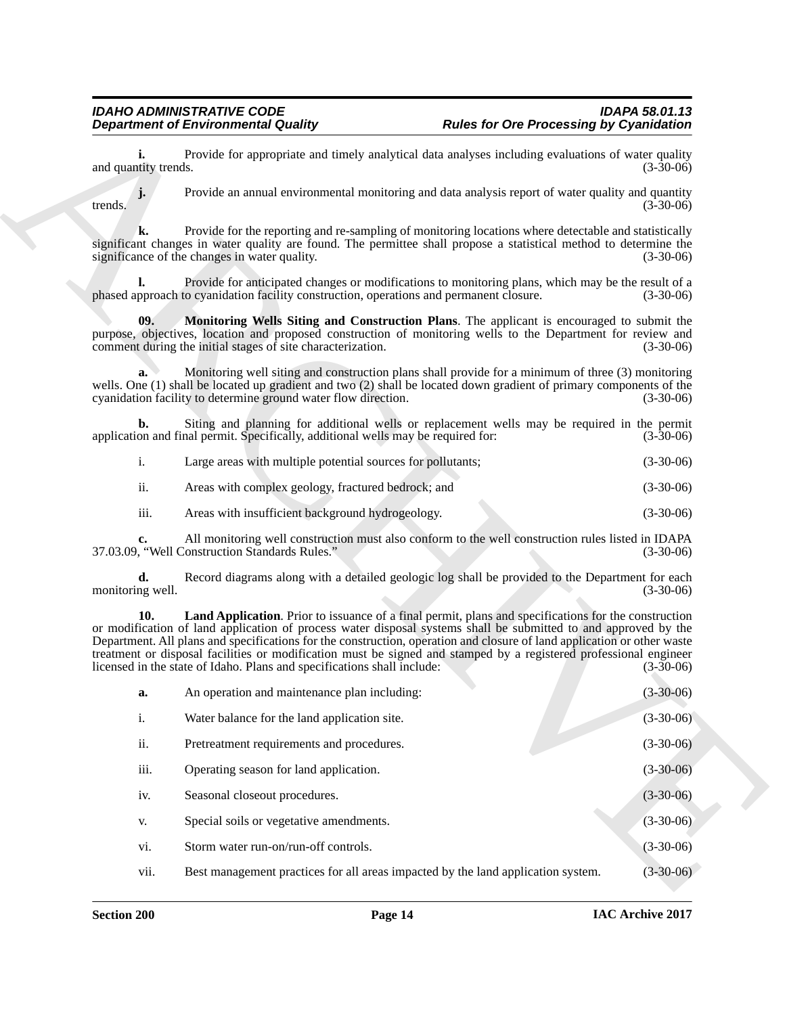<span id="page-13-1"></span><span id="page-13-0"></span>

|                  | Large areas with multiple potential sources for pollutants; | $(3-30-06)$ |
|------------------|-------------------------------------------------------------|-------------|
| 11.              | Areas with complex geology, fractured bedrock; and          | $(3-30-06)$ |
| $\cdots$<br>111. | Areas with insufficient background hydrogeology.            | $(3-30-06)$ |

|                            | <b>Department of Environmental Quality</b>                                              | <b>Rules for Ore Processing by Cyanidation</b>                                                                                                                                                                                                                                                                                                                                                                                                                                         |  |
|----------------------------|-----------------------------------------------------------------------------------------|----------------------------------------------------------------------------------------------------------------------------------------------------------------------------------------------------------------------------------------------------------------------------------------------------------------------------------------------------------------------------------------------------------------------------------------------------------------------------------------|--|
| i.<br>and quantity trends. |                                                                                         | Provide for appropriate and timely analytical data analyses including evaluations of water quality<br>$(3-30-06)$                                                                                                                                                                                                                                                                                                                                                                      |  |
| trends.                    |                                                                                         | Provide an annual environmental monitoring and data analysis report of water quality and quantity<br>$(3-30-06)$                                                                                                                                                                                                                                                                                                                                                                       |  |
| k.                         | significance of the changes in water quality.                                           | Provide for the reporting and re-sampling of monitoring locations where detectable and statistically<br>significant changes in water quality are found. The permittee shall propose a statistical method to determine the<br>$(3-30-06)$                                                                                                                                                                                                                                               |  |
| I.                         | phased approach to cyanidation facility construction, operations and permanent closure. | Provide for anticipated changes or modifications to monitoring plans, which may be the result of a<br>$(3-30-06)$                                                                                                                                                                                                                                                                                                                                                                      |  |
| 09.                        | comment during the initial stages of site characterization.                             | Monitoring Wells Siting and Construction Plans. The applicant is encouraged to submit the<br>purpose, objectives, location and proposed construction of monitoring wells to the Department for review and<br>$(3-30-06)$                                                                                                                                                                                                                                                               |  |
| a.                         | cyanidation facility to determine ground water flow direction.                          | Monitoring well siting and construction plans shall provide for a minimum of three (3) monitoring<br>wells. One (1) shall be located up gradient and two (2) shall be located down gradient of primary components of the<br>$(3-30-06)$                                                                                                                                                                                                                                                |  |
| b.                         | application and final permit. Specifically, additional wells may be required for:       | Siting and planning for additional wells or replacement wells may be required in the permit<br>$(3-30-06)$                                                                                                                                                                                                                                                                                                                                                                             |  |
| i.                         | Large areas with multiple potential sources for pollutants;                             | $(3-30-06)$                                                                                                                                                                                                                                                                                                                                                                                                                                                                            |  |
| ii.                        | Areas with complex geology, fractured bedrock; and                                      | $(3-30-06)$                                                                                                                                                                                                                                                                                                                                                                                                                                                                            |  |
| iii.                       | Areas with insufficient background hydrogeology.                                        | $(3-30-06)$                                                                                                                                                                                                                                                                                                                                                                                                                                                                            |  |
| c.                         | 37.03.09, "Well Construction Standards Rules."                                          | All monitoring well construction must also conform to the well construction rules listed in IDAPA<br>$(3-30-06)$                                                                                                                                                                                                                                                                                                                                                                       |  |
| d.<br>monitoring well.     |                                                                                         | Record diagrams along with a detailed geologic log shall be provided to the Department for each<br>$(3-30-06)$                                                                                                                                                                                                                                                                                                                                                                         |  |
| 10.                        | licensed in the state of Idaho. Plans and specifications shall include:                 | Land Application. Prior to issuance of a final permit, plans and specifications for the construction<br>or modification of land application of process water disposal systems shall be submitted to and approved by the<br>Department. All plans and specifications for the construction, operation and closure of land application or other waste<br>treatment or disposal facilities or modification must be signed and stamped by a registered professional engineer<br>$(3-30-06)$ |  |
| a.                         | An operation and maintenance plan including:                                            | $(3 - 30 - 06)$                                                                                                                                                                                                                                                                                                                                                                                                                                                                        |  |
| $i$ .                      | Water balance for the land application site.                                            | $(3-30-06)$                                                                                                                                                                                                                                                                                                                                                                                                                                                                            |  |
| ii.                        | Pretreatment requirements and procedures.                                               | $(3-30-06)$                                                                                                                                                                                                                                                                                                                                                                                                                                                                            |  |
| iii.                       | Operating season for land application.                                                  | $(3-30-06)$                                                                                                                                                                                                                                                                                                                                                                                                                                                                            |  |
| iv.                        | Seasonal closeout procedures.                                                           | $(3-30-06)$                                                                                                                                                                                                                                                                                                                                                                                                                                                                            |  |
| V.                         | Special soils or vegetative amendments.                                                 | $(3-30-06)$                                                                                                                                                                                                                                                                                                                                                                                                                                                                            |  |
| vi.                        | Storm water run-on/run-off controls.                                                    | $(3-30-06)$                                                                                                                                                                                                                                                                                                                                                                                                                                                                            |  |
| vii.                       | Best management practices for all areas impacted by the land application system.        | $(3-30-06)$                                                                                                                                                                                                                                                                                                                                                                                                                                                                            |  |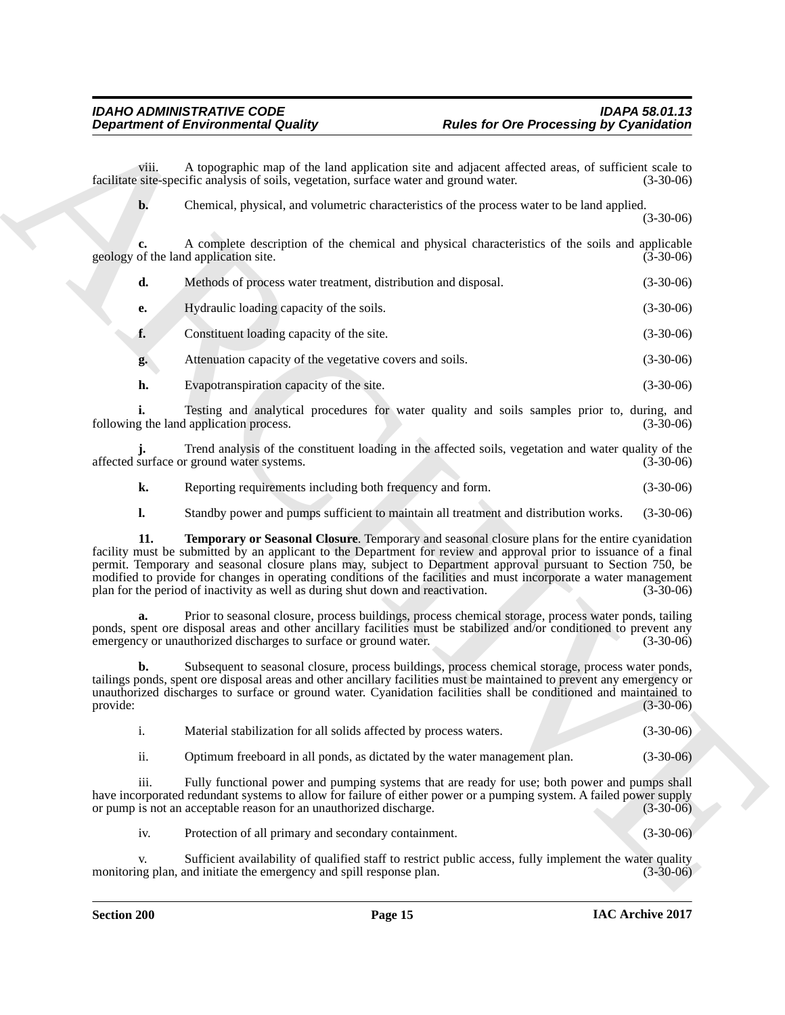|                | <b>Department of Environmental Quality</b>                                              | <b>Rules for Ore Processing by Cyanidation</b>                                                                                                                                                                                                                                                                                                                                                                                                           |             |
|----------------|-----------------------------------------------------------------------------------------|----------------------------------------------------------------------------------------------------------------------------------------------------------------------------------------------------------------------------------------------------------------------------------------------------------------------------------------------------------------------------------------------------------------------------------------------------------|-------------|
| viii.          | facilitate site-specific analysis of soils, vegetation, surface water and ground water. | A topographic map of the land application site and adjacent affected areas, of sufficient scale to                                                                                                                                                                                                                                                                                                                                                       | $(3-30-06)$ |
| b.             |                                                                                         | Chemical, physical, and volumetric characteristics of the process water to be land applied.                                                                                                                                                                                                                                                                                                                                                              | $(3-30-06)$ |
|                | geology of the land application site.                                                   | A complete description of the chemical and physical characteristics of the soils and applicable                                                                                                                                                                                                                                                                                                                                                          | $(3-30-06)$ |
| d.             | Methods of process water treatment, distribution and disposal.                          |                                                                                                                                                                                                                                                                                                                                                                                                                                                          | $(3-30-06)$ |
| e.             | Hydraulic loading capacity of the soils.                                                |                                                                                                                                                                                                                                                                                                                                                                                                                                                          | $(3-30-06)$ |
| f.             | Constituent loading capacity of the site.                                               |                                                                                                                                                                                                                                                                                                                                                                                                                                                          | $(3-30-06)$ |
| g.             | Attenuation capacity of the vegetative covers and soils.                                |                                                                                                                                                                                                                                                                                                                                                                                                                                                          | $(3-30-06)$ |
| h.             | Evapotranspiration capacity of the site.                                                |                                                                                                                                                                                                                                                                                                                                                                                                                                                          | $(3-30-06)$ |
|                | following the land application process.                                                 | Testing and analytical procedures for water quality and soils samples prior to, during, and                                                                                                                                                                                                                                                                                                                                                              | $(3-30-06)$ |
|                | affected surface or ground water systems.                                               | Trend analysis of the constituent loading in the affected soils, vegetation and water quality of the                                                                                                                                                                                                                                                                                                                                                     | $(3-30-06)$ |
| k.             | Reporting requirements including both frequency and form.                               |                                                                                                                                                                                                                                                                                                                                                                                                                                                          | $(3-30-06)$ |
| l.             |                                                                                         | Standby power and pumps sufficient to maintain all treatment and distribution works.                                                                                                                                                                                                                                                                                                                                                                     | $(3-30-06)$ |
| 11.            | plan for the period of inactivity as well as during shut down and reactivation.         | Temporary or Seasonal Closure. Temporary and seasonal closure plans for the entire cyanidation<br>facility must be submitted by an applicant to the Department for review and approval prior to issuance of a final<br>permit. Temporary and seasonal closure plans may, subject to Department approval pursuant to Section 750, be<br>modified to provide for changes in operating conditions of the facilities and must incorporate a water management | $(3-30-06)$ |
|                | emergency or unauthorized discharges to surface or ground water.                        | Prior to seasonal closure, process buildings, process chemical storage, process water ponds, tailing<br>ponds, spent ore disposal areas and other ancillary facilities must be stabilized and/or conditioned to prevent any                                                                                                                                                                                                                              | $(3-30-06)$ |
| b.<br>provide: |                                                                                         | Subsequent to seasonal closure, process buildings, process chemical storage, process water ponds,<br>tailings ponds, spent ore disposal areas and other ancillary facilities must be maintained to prevent any emergency or<br>unauthorized discharges to surface or ground water. Cyanidation facilities shall be conditioned and maintained to                                                                                                         | $(3-30-06)$ |
| i.             | Material stabilization for all solids affected by process waters.                       |                                                                                                                                                                                                                                                                                                                                                                                                                                                          | $(3-30-06)$ |
| ii.            | Optimum freeboard in all ponds, as dictated by the water management plan.               |                                                                                                                                                                                                                                                                                                                                                                                                                                                          | $(3-30-06)$ |
| iii.           | or pump is not an acceptable reason for an unauthorized discharge.                      | Fully functional power and pumping systems that are ready for use; both power and pumps shall<br>have incorporated redundant systems to allow for failure of either power or a pumping system. A failed power supply                                                                                                                                                                                                                                     | $(3-30-06)$ |
|                |                                                                                         |                                                                                                                                                                                                                                                                                                                                                                                                                                                          |             |
| iv.            | Protection of all primary and secondary containment.                                    |                                                                                                                                                                                                                                                                                                                                                                                                                                                          | $(3-30-06)$ |

<span id="page-14-0"></span>

| Material stabilization for all solids affected by process waters. | $(3-30-06)$ |
|-------------------------------------------------------------------|-------------|
|                                                                   |             |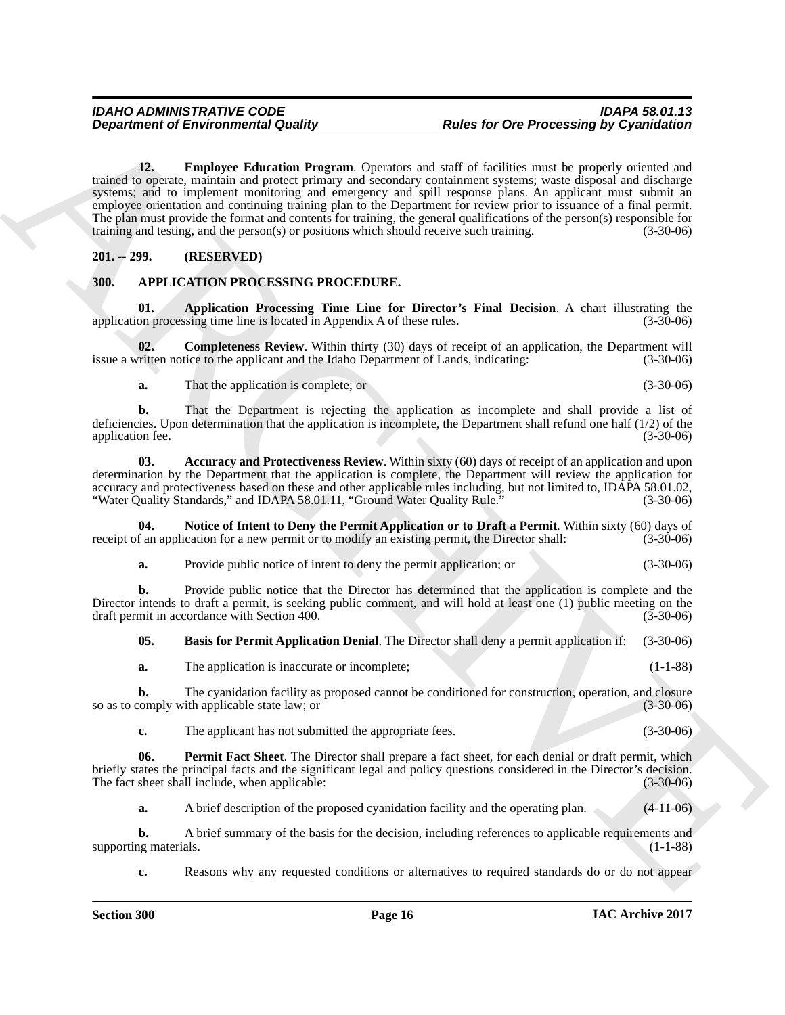**Department of Environmental Guality Rules for Ore Processing by Cyanidation<br>
The Equilibration Property can calculate the contrast of the contrast of the property of the state of the control of the control of the control 12. Employee Education Program**. Operators and staff of facilities must be properly oriented and trained to operate, maintain and protect primary and secondary containment systems; waste disposal and discharge systems; and to implement monitoring and emergency and spill response plans. An applicant must submit an employee orientation and continuing training plan to the Department for review prior to issuance of a final permit. The plan must provide the format and contents for training, the general qualifications of the person(s) responsible for training and testing, and the person(s) or positions which should receive such training. (3-30-06) training and testing, and the person $(s)$  or positions which should receive such training.

### <span id="page-15-9"></span><span id="page-15-0"></span>**201. -- 299. (RESERVED)**

# <span id="page-15-2"></span><span id="page-15-1"></span>**300. APPLICATION PROCESSING PROCEDURE.**

<span id="page-15-4"></span>**01. Application Processing Time Line for Director's Final Decision**. A chart illustrating the on processing time line is located in Appendix A of these rules. (3-30-06) application processing time line is located in Appendix A of these rules.

**02. Completeness Review**. Within thirty (30) days of receipt of an application, the Department will ritten notice to the applicant and the Idaho Department of Lands, indicating: (3-30-06) issue a written notice to the applicant and the Idaho Department of Lands, indicating:

<span id="page-15-6"></span><span id="page-15-3"></span>**a.** That the application is complete; or (3-30-06)

**b.** That the Department is rejecting the application as incomplete and shall provide a list of deficiencies. Upon determination that the application is incomplete, the Department shall refund one half  $(1/2)$  of the application fee.  $(3-30-06)$ application fee.

**03. Accuracy and Protectiveness Review**. Within sixty (60) days of receipt of an application and upon determination by the Department that the application is complete, the Department will review the application for accuracy and protectiveness based on these and other applicable rules including, but not limited to, IDAPA 58.01.02, "Water Quality Standards," and IDAPA 58.01.11, "Ground Water Quality Rule." (3-30-06)

**04.** Notice of Intent to Deny the Permit Application or to Draft a Permit. Within sixty (60) days of f an application for a new permit or to modify an existing permit, the Director shall: (3-30-06) receipt of an application for a new permit or to modify an existing permit, the Director shall:

<span id="page-15-7"></span>**a.** Provide public notice of intent to deny the permit application; or (3-30-06)

**b.** Provide public notice that the Director has determined that the application is complete and the Director intends to draft a permit, is seeking public comment, and will hold at least one (1) public meeting on the draft permit in accordance with Section 400. draft permit in accordance with Section 400.

<span id="page-15-5"></span>**05. Basis for Permit Application Denial**. The Director shall deny a permit application if: (3-30-06)

**a.** The application is inaccurate or incomplete; (1-1-88)

**b.** The cyanidation facility as proposed cannot be conditioned for construction, operation, and closure comply with applicable state law; or so as to comply with applicable state law; or

<span id="page-15-8"></span>**c.** The applicant has not submitted the appropriate fees.  $(3-30-06)$ 

**06. Permit Fact Sheet**. The Director shall prepare a fact sheet, for each denial or draft permit, which briefly states the principal facts and the significant legal and policy questions considered in the Director's decision.<br>The fact sheet shall include, when applicable: (3-30-06) The fact sheet shall include, when applicable:

**a.** A brief description of the proposed cyanidation facility and the operating plan. (4-11-06)

**b.** A brief summary of the basis for the decision, including references to applicable requirements and ng materials. (1-1-88) supporting materials.

**c.** Reasons why any requested conditions or alternatives to required standards do or do not appear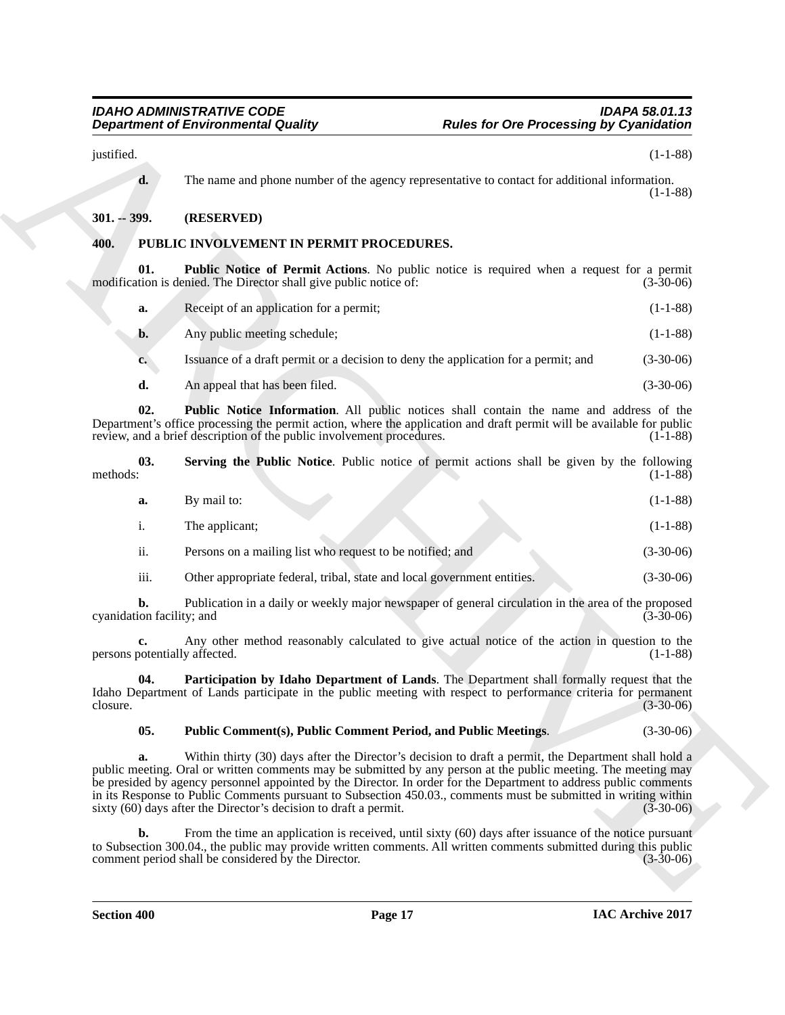# <span id="page-16-0"></span>**301. -- 399. (RESERVED)**

# <span id="page-16-2"></span><span id="page-16-1"></span>**400. PUBLIC INVOLVEMENT IN PERMIT PROCEDURES.**

<span id="page-16-7"></span><span id="page-16-6"></span><span id="page-16-5"></span>

| a.            | Receipt of an application for a permit;                                            | $(1-1-88)$  |
|---------------|------------------------------------------------------------------------------------|-------------|
| b.            | Any public meeting schedule;                                                       | $(1-1-88)$  |
| $c_{\bullet}$ | Issuance of a draft permit or a decision to deny the application for a permit; and | $(3-30-06)$ |
| d.            | An appeal that has been filed.                                                     | $(3-30-06)$ |

|                                     | <b>Department of Environmental Quality</b>                                                                                                                                                                                                                                                                                                  | <b>Rules for Ore Processing by Cyanidation</b> |  |  |  |
|-------------------------------------|---------------------------------------------------------------------------------------------------------------------------------------------------------------------------------------------------------------------------------------------------------------------------------------------------------------------------------------------|------------------------------------------------|--|--|--|
| justified.                          |                                                                                                                                                                                                                                                                                                                                             | $(1-1-88)$                                     |  |  |  |
| d.                                  | The name and phone number of the agency representative to contact for additional information.                                                                                                                                                                                                                                               | $(1-1-88)$                                     |  |  |  |
| $301. - 399.$                       | (RESERVED)                                                                                                                                                                                                                                                                                                                                  |                                                |  |  |  |
| 400.                                | PUBLIC INVOLVEMENT IN PERMIT PROCEDURES.                                                                                                                                                                                                                                                                                                    |                                                |  |  |  |
| 01.                                 | <b>Public Notice of Permit Actions.</b> No public notice is required when a request for a permit<br>modification is denied. The Director shall give public notice of:                                                                                                                                                                       | $(3-30-06)$                                    |  |  |  |
| a.                                  | Receipt of an application for a permit;                                                                                                                                                                                                                                                                                                     | $(1-1-88)$                                     |  |  |  |
| b.                                  | Any public meeting schedule;                                                                                                                                                                                                                                                                                                                | $(1-1-88)$                                     |  |  |  |
| c.                                  | Issuance of a draft permit or a decision to deny the application for a permit; and                                                                                                                                                                                                                                                          | $(3-30-06)$                                    |  |  |  |
| d.                                  | An appeal that has been filed.                                                                                                                                                                                                                                                                                                              | $(3-30-06)$                                    |  |  |  |
| 02.                                 | Public Notice Information. All public notices shall contain the name and address of the<br>Department's office processing the permit action, where the application and draft permit will be available for public<br>review, and a brief description of the public involvement procedures.                                                   | $(1-1-88)$                                     |  |  |  |
| 03.<br>methods:                     | Serving the Public Notice. Public notice of permit actions shall be given by the following                                                                                                                                                                                                                                                  | $(1-1-88)$                                     |  |  |  |
| a.                                  | By mail to:                                                                                                                                                                                                                                                                                                                                 | $(1-1-88)$                                     |  |  |  |
| $\mathbf{i}$ .                      | The applicant;                                                                                                                                                                                                                                                                                                                              | $(1-1-88)$                                     |  |  |  |
| ii.                                 | Persons on a mailing list who request to be notified; and                                                                                                                                                                                                                                                                                   | $(3-30-06)$                                    |  |  |  |
| iii.                                | Other appropriate federal, tribal, state and local government entities.                                                                                                                                                                                                                                                                     | $(3-30-06)$                                    |  |  |  |
| b.<br>cyanidation facility; and     | Publication in a daily or weekly major newspaper of general circulation in the area of the proposed                                                                                                                                                                                                                                         | $(3-30-06)$                                    |  |  |  |
| c.<br>persons potentially affected. | Any other method reasonably calculated to give actual notice of the action in question to the                                                                                                                                                                                                                                               | $(1-1-88)$                                     |  |  |  |
| 04.<br>closure.                     | Participation by Idaho Department of Lands. The Department shall formally request that the<br>Idaho Department of Lands participate in the public meeting with respect to performance criteria for permanent                                                                                                                                | $(3-30-06)$                                    |  |  |  |
| 05.                                 | Public Comment(s), Public Comment Period, and Public Meetings.                                                                                                                                                                                                                                                                              | $(3-30-06)$                                    |  |  |  |
| a.                                  | Within thirty (30) days after the Director's decision to draft a permit, the Department shall hold a<br>public meeting. Oral or written comments may be submitted by any person at the public meeting. The meeting may<br>be presided by agency personnel appointed by the Director. In order for the Department to address public comments |                                                |  |  |  |
|                                     | in its Response to Public Comments pursuant to Subsection 450.03., comments must be submitted in writing within<br>sixty $(60)$ days after the Director's decision to draft a permit.                                                                                                                                                       |                                                |  |  |  |
| b.                                  | From the time an application is received, until sixty (60) days after issuance of the notice pursuant<br>to Subsection 300.04., the public may provide written comments. All written comments submitted during this public<br>comment period shall be considered by the Director.                                                           | $(3-30-06)$<br>$(3-30-06)$                     |  |  |  |

### <span id="page-16-4"></span><span id="page-16-3"></span>**05. Public Comment(s), Public Comment Period, and Public Meetings**. (3-30-06)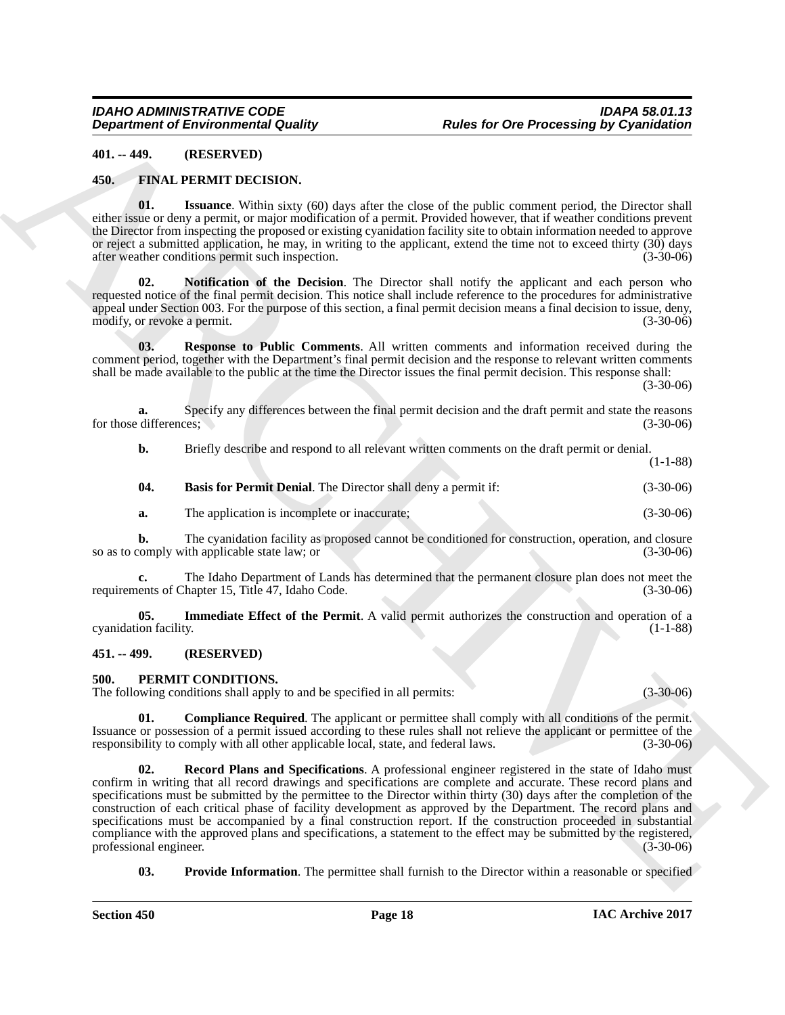#### <span id="page-17-4"></span><span id="page-17-0"></span>**401. -- 449. (RESERVED)**

#### <span id="page-17-1"></span>**450. FINAL PERMIT DECISION.**

<span id="page-17-7"></span>**01. Issuance**. Within sixty (60) days after the close of the public comment period, the Director shall either issue or deny a permit, or major modification of a permit. Provided however, that if weather conditions prevent the Director from inspecting the proposed or existing cyanidation facility site to obtain information needed to approve or reject a submitted application, he may, in writing to the applicant, extend the time not to exceed thirty (30) days after weather conditions permit such inspection. (3-30-06)

<span id="page-17-8"></span>**02. Notification of the Decision**. The Director shall notify the applicant and each person who requested notice of the final permit decision. This notice shall include reference to the procedures for administrative appeal under Section 003. For the purpose of this section, a final permit decision means a final decision to issue, deny, modify, or revoke a permit. (3-30-06)

<span id="page-17-9"></span>**03. Response to Public Comments**. All written comments and information received during the comment period, together with the Department's final permit decision and the response to relevant written comments shall be made available to the public at the time the Director issues the final permit decision. This response shall:

 $(3-30-06)$ 

**a.** Specify any differences between the final permit decision and the draft permit and state the reasons differences: for those differences;

**b.** Briefly describe and respond to all relevant written comments on the draft permit or denial. (1-1-88)

<span id="page-17-5"></span>

| 04 | <b>Basis for Permit Denial.</b> The Director shall deny a permit if: | $(3-30-06)$ |
|----|----------------------------------------------------------------------|-------------|
|    | The application is incomplete or inaccurate:                         | $(3-30-06)$ |

**b.** The cyanidation facility as proposed cannot be conditioned for construction, operation, and closure comply with applicable state law; or so as to comply with applicable state law; or

**c.** The Idaho Department of Lands has determined that the permanent closure plan does not meet the ents of Chapter 15, Title 47, Idaho Code. (3-30-06) requirements of Chapter 15, Title 47, Idaho Code.

<span id="page-17-6"></span>**05.** Immediate Effect of the Permit. A valid permit authorizes the construction and operation of a ion facility. (1-1-88) cyanidation facility.

#### <span id="page-17-2"></span>**451. -- 499. (RESERVED)**

#### <span id="page-17-10"></span><span id="page-17-3"></span>**500. PERMIT CONDITIONS.**

The following conditions shall apply to and be specified in all permits: (3-30-06)

<span id="page-17-13"></span><span id="page-17-11"></span>**01. Compliance Required**. The applicant or permittee shall comply with all conditions of the permit. Issuance or possession of a permit issued according to these rules shall not relieve the applicant or permittee of the responsibility to comply with all other applicable local, state, and federal laws. (3-30-06)

**Department of Environmental Country.** Rules for One Processing by Cyaniculation<br>
41. + FPM I.F. PEMENT DECRIVES.<br>
45. The Victoria control of the state of the politic control of the politic control of the political and t **02. Record Plans and Specifications**. A professional engineer registered in the state of Idaho must confirm in writing that all record drawings and specifications are complete and accurate. These record plans and specifications must be submitted by the permittee to the Director within thirty (30) days after the completion of the construction of each critical phase of facility development as approved by the Department. The record plans and specifications must be accompanied by a final construction report. If the construction proceeded in substantial compliance with the approved plans and specifications, a statement to the effect may be submitted by the registered, professional engineer. (3-30-06) professional engineer.

<span id="page-17-12"></span>**03. Provide Information**. The permittee shall furnish to the Director within a reasonable or specified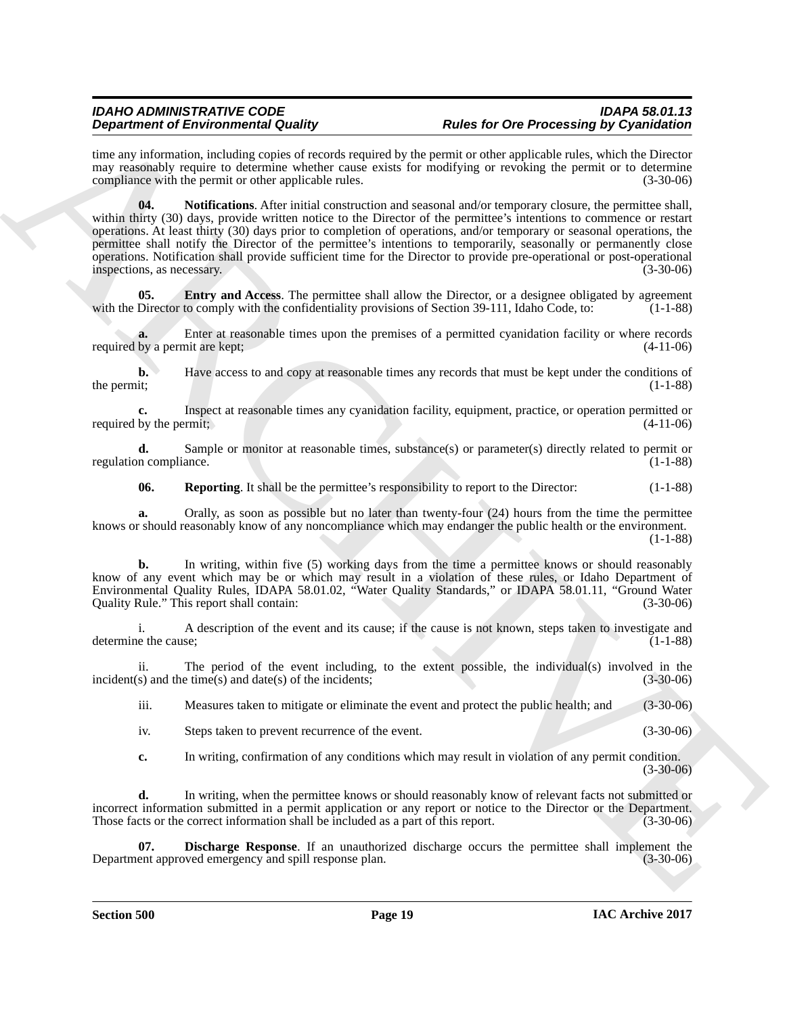<span id="page-18-2"></span>time any information, including copies of records required by the permit or other applicable rules, which the Director may reasonably require to determine whether cause exists for modifying or revoking the permit or to determine compliance with the permit or other applicable rules. (3-30-06)

**Dependent of Entropological Data Propological Scheme CoP OP Dependent of the CoP Control Scheme Control Scheme<br>
and the second scheme of the second behavior of the second behavior of the second behavior of the second beh 04. Notifications**. After initial construction and seasonal and/or temporary closure, the permittee shall, within thirty (30) days, provide written notice to the Director of the permittee's intentions to commence or restart operations. At least thirty (30) days prior to completion of operations, and/or temporary or seasonal operations, the permittee shall notify the Director of the permittee's intentions to temporarily, seasonally or permanently close operations. Notification shall provide sufficient time for the Director to provide pre-operational or post-operational inspections, as necessary. (3-30-06)

<span id="page-18-1"></span>**05. Entry and Access**. The permittee shall allow the Director, or a designee obligated by agreement Director to comply with the confidentiality provisions of Section 39-111, Idaho Code, to: (1-1-88) with the Director to comply with the confidentiality provisions of Section 39-111, Idaho Code, to:

**a.** Enter at reasonable times upon the premises of a permitted cyanidation facility or where records by a permit are kept; (4-11-06) required by a permit are kept;

**b.** Have access to and copy at reasonable times any records that must be kept under the conditions of the permit; (1-1-88) (1-1-88)

**c.** Inspect at reasonable times any cyanidation facility, equipment, practice, or operation permitted or by the permitt,  $(4-11-06)$ required by the permit;

**d.** Sample or monitor at reasonable times, substance(s) or parameter(s) directly related to permit or regulation compliance. (1-1-88)

<span id="page-18-3"></span>**06.** Reporting. It shall be the permittee's responsibility to report to the Director: (1-1-88)

**a.** Orally, as soon as possible but no later than twenty-four (24) hours from the time the permittee knows or should reasonably know of any noncompliance which may endanger the public health or the environment. (1-1-88)

**b.** In writing, within five (5) working days from the time a permittee knows or should reasonably know of any event which may be or which may result in a violation of these rules, or Idaho Department of Environmental Quality Rules, IDAPA 58.01.02, "Water Quality Standards," or IDAPA 58.01.11, "Ground Water Quality Rule." This report shall contain: (3-30-06)

i. A description of the event and its cause; if the cause is not known, steps taken to investigate and e the cause; (1-1-88) determine the cause;

ii. The period of the event including, to the extent possible, the individual(s) involved in the  $(s)$  and the time(s) and date(s) of the incidents;  $incident(s)$  and the time $(s)$  and date $(s)$  of the incidents;

iii. Measures taken to mitigate or eliminate the event and protect the public health; and (3-30-06)

iv. Steps taken to prevent recurrence of the event. (3-30-06)

<span id="page-18-0"></span>**c.** In writing, confirmation of any conditions which may result in violation of any permit condition. (3-30-06)

**d.** In writing, when the permittee knows or should reasonably know of relevant facts not submitted or incorrect information submitted in a permit application or any report or notice to the Director or the Department.<br>Those facts or the correct information shall be included as a part of this report. (3-30-06) Those facts or the correct information shall be included as a part of this report.

**07. Discharge Response**. If an unauthorized discharge occurs the permittee shall implement the ent approved emergency and spill response plan. (3-30-06) Department approved emergency and spill response plan.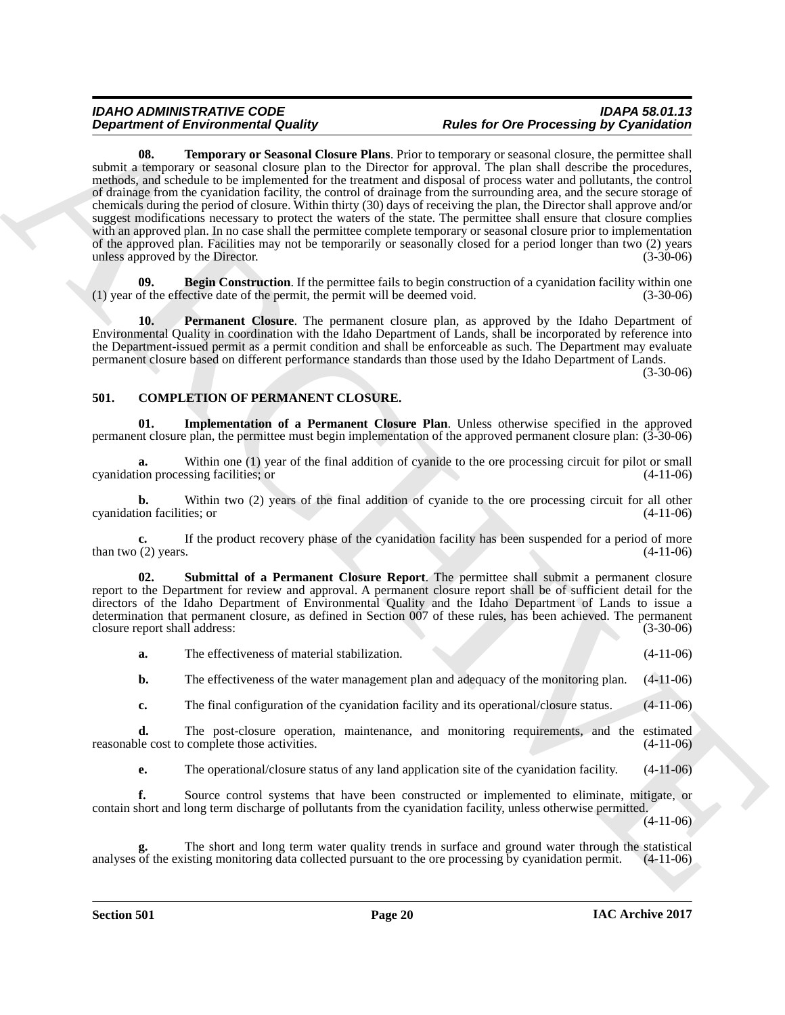### <span id="page-19-6"></span>*IDAHO ADMINISTRATIVE CODE IDAPA 58.01.13 Rules for Ore Processing by Cyanidation*

**Department of Entropic mix County Plan.** This terms of Depression projection of the state of Department of Entropic mix County Plan. This is the state of Department of the plan half of the state of the state of the state **08. Temporary or Seasonal Closure Plans**. Prior to temporary or seasonal closure, the permittee shall submit a temporary or seasonal closure plan to the Director for approval. The plan shall describe the procedures, methods, and schedule to be implemented for the treatment and disposal of process water and pollutants, the control of drainage from the cyanidation facility, the control of drainage from the surrounding area, and the secure storage of chemicals during the period of closure. Within thirty (30) days of receiving the plan, the Director shall approve and/or suggest modifications necessary to protect the waters of the state. The permittee shall ensure that closure complies with an approved plan. In no case shall the permittee complete temporary or seasonal closure prior to implementation of the approved plan. Facilities may not be temporarily or seasonally closed for a period longer than two (2) years unless approved by the Director. (3-30-06)

<span id="page-19-4"></span>**09. Begin Construction**. If the permittee fails to begin construction of a cyanidation facility within one of the effective date of the permit, the permit will be deemed void. (3-30-06)  $(1)$  year of the effective date of the permit, the permit will be deemed void.

<span id="page-19-5"></span>**10. Permanent Closure**. The permanent closure plan, as approved by the Idaho Department of Environmental Quality in coordination with the Idaho Department of Lands, shall be incorporated by reference into the Department-issued permit as a permit condition and shall be enforceable as such. The Department may evaluate permanent closure based on different performance standards than those used by the Idaho Department of Lands.

(3-30-06)

# <span id="page-19-1"></span><span id="page-19-0"></span>**501. COMPLETION OF PERMANENT CLOSURE.**

<span id="page-19-2"></span>**01. Implementation of a Permanent Closure Plan**. Unless otherwise specified in the approved permanent closure plan, the permittee must begin implementation of the approved permanent closure plan: (3-30-06)

**a.** Within one (1) year of the final addition of cyanide to the ore processing circuit for pilot or small on processing facilities: or cyanidation processing facilities; or

**b.** Within two (2) years of the final addition of cyanide to the ore processing circuit for all other ion facilities; or (4-11-06) cyanidation facilities; or

**c.** If the product recovery phase of the cyanidation facility has been suspended for a period of more (2) years. (4-11-06) than two  $(2)$  years.

<span id="page-19-3"></span>**02. Submittal of a Permanent Closure Report**. The permittee shall submit a permanent closure report to the Department for review and approval. A permanent closure report shall be of sufficient detail for the directors of the Idaho Department of Environmental Quality and the Idaho Department of Lands to issue a determination that permanent closure, as defined in Section 007 of these rules, has been achieved. The permanent closure report shall address: (3-30-06)

| a. | The effectiveness of material stabilization. |  | $(4-11-06)$ |
|----|----------------------------------------------|--|-------------|
|    |                                              |  |             |

**b.** The effectiveness of the water management plan and adequacy of the monitoring plan.  $(4-11-06)$ 

**c.** The final configuration of the cyanidation facility and its operational/closure status. (4-11-06)

**d.** The post-closure operation, maintenance, and monitoring requirements, and the estimated le cost to complete those activities. (4-11-06) reasonable cost to complete those activities.

**e.** The operational/closure status of any land application site of the cyanidation facility. (4-11-06)

**f.** Source control systems that have been constructed or implemented to eliminate, mitigate, or contain short and long term discharge of pollutants from the cyanidation facility, unless otherwise permitted.

(4-11-06)

The short and long term water quality trends in surface and ground water through the statistical isting monitoring data collected pursuant to the ore processing by cyanidation permit. (4-11-06) analyses of the existing monitoring data collected pursuant to the ore processing by cyanidation permit.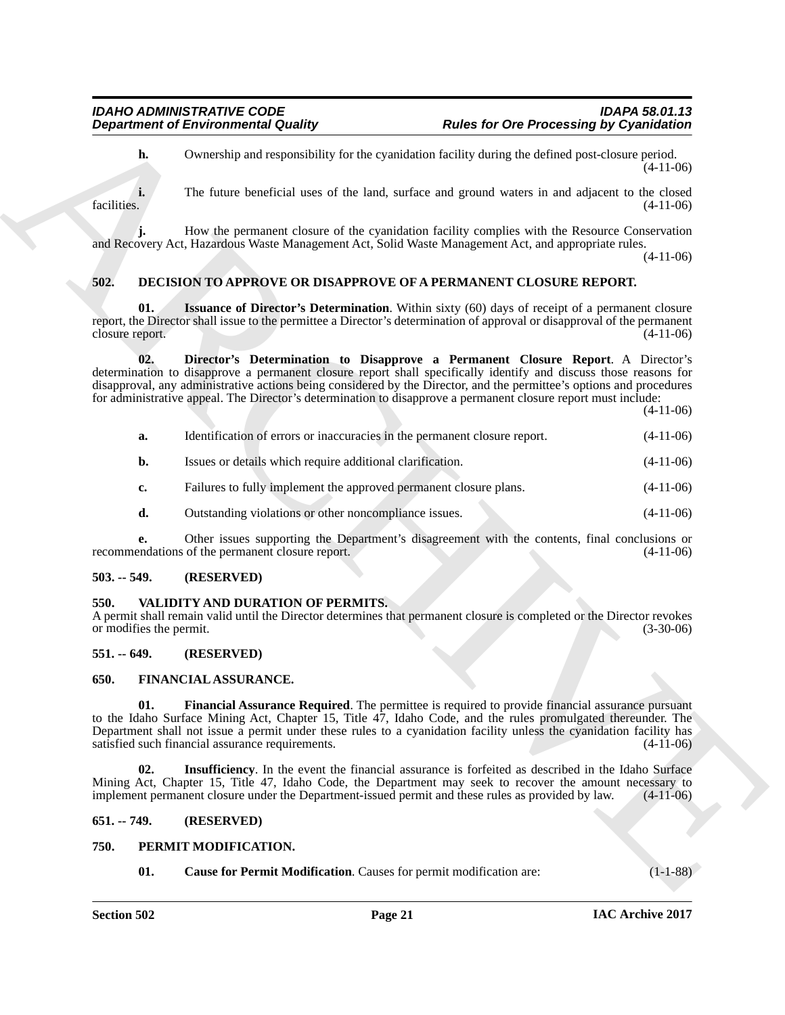#### <span id="page-20-9"></span><span id="page-20-8"></span><span id="page-20-7"></span><span id="page-20-0"></span>**502. DECISION TO APPROVE OR DISAPPROVE OF A PERMANENT CLOSURE REPORT.**

| <b>Department of Environmental Quality</b> |                                                                           | <b>Rules for Ore Processing by Cyanidation</b>                                                                                                                                                                                                                                                                                                                                                                                                |             |  |  |
|--------------------------------------------|---------------------------------------------------------------------------|-----------------------------------------------------------------------------------------------------------------------------------------------------------------------------------------------------------------------------------------------------------------------------------------------------------------------------------------------------------------------------------------------------------------------------------------------|-------------|--|--|
| h.                                         |                                                                           | Ownership and responsibility for the cyanidation facility during the defined post-closure period.                                                                                                                                                                                                                                                                                                                                             | $(4-11-06)$ |  |  |
| facilities.                                |                                                                           | The future beneficial uses of the land, surface and ground waters in and adjacent to the closed                                                                                                                                                                                                                                                                                                                                               | $(4-11-06)$ |  |  |
|                                            |                                                                           | How the permanent closure of the cyanidation facility complies with the Resource Conservation<br>and Recovery Act, Hazardous Waste Management Act, Solid Waste Management Act, and appropriate rules.                                                                                                                                                                                                                                         | $(4-11-06)$ |  |  |
| 502.                                       |                                                                           | <b>DECISION TO APPROVE OR DISAPPROVE OF A PERMANENT CLOSURE REPORT.</b>                                                                                                                                                                                                                                                                                                                                                                       |             |  |  |
| 01.<br>closure report.                     |                                                                           | <b>Issuance of Director's Determination.</b> Within sixty (60) days of receipt of a permanent closure<br>report, the Director shall issue to the permittee a Director's determination of approval or disapproval of the permanent                                                                                                                                                                                                             | $(4-11-06)$ |  |  |
| 02.                                        |                                                                           | Director's Determination to Disapprove a Permanent Closure Report. A Director's<br>determination to disapprove a permanent closure report shall specifically identify and discuss those reasons for<br>disapproval, any administrative actions being considered by the Director, and the permittee's options and procedures<br>for administrative appeal. The Director's determination to disapprove a permanent closure report must include: | $(4-11-06)$ |  |  |
| a.                                         | Identification of errors or inaccuracies in the permanent closure report. |                                                                                                                                                                                                                                                                                                                                                                                                                                               | $(4-11-06)$ |  |  |
| b.                                         | Issues or details which require additional clarification.                 |                                                                                                                                                                                                                                                                                                                                                                                                                                               | $(4-11-06)$ |  |  |
| c.                                         | Failures to fully implement the approved permanent closure plans.         |                                                                                                                                                                                                                                                                                                                                                                                                                                               | $(4-11-06)$ |  |  |
| d.                                         | Outstanding violations or other noncompliance issues.                     |                                                                                                                                                                                                                                                                                                                                                                                                                                               | $(4-11-06)$ |  |  |
| e.                                         | recommendations of the permanent closure report.                          | Other issues supporting the Department's disagreement with the contents, final conclusions or                                                                                                                                                                                                                                                                                                                                                 | $(4-11-06)$ |  |  |
| $503. - 549.$                              | (RESERVED)                                                                |                                                                                                                                                                                                                                                                                                                                                                                                                                               |             |  |  |
| 550.<br>or modifies the permit.            | VALIDITY AND DURATION OF PERMITS.                                         | A permit shall remain valid until the Director determines that permanent closure is completed or the Director revokes                                                                                                                                                                                                                                                                                                                         | $(3-30-06)$ |  |  |
| $551. - 649.$                              | (RESERVED)                                                                |                                                                                                                                                                                                                                                                                                                                                                                                                                               |             |  |  |
| 650.                                       | FINANCIAL ASSURANCE.                                                      |                                                                                                                                                                                                                                                                                                                                                                                                                                               |             |  |  |
| 01.                                        | satisfied such financial assurance requirements.                          | Financial Assurance Required. The permittee is required to provide financial assurance pursuant<br>to the Idaho Surface Mining Act, Chapter 15, Title 47, Idaho Code, and the rules promulgated thereunder. The<br>Department shall not issue a permit under these rules to a cyanidation facility unless the cyanidation facility has                                                                                                        | $(4-11-06)$ |  |  |
| 02.                                        |                                                                           | Insufficiency. In the event the financial assurance is forfeited as described in the Idaho Surface<br>Mining Act, Chapter 15, Title 47, Idaho Code, the Department may seek to recover the amount necessary to<br>implement permanent closure under the Department-issued permit and these rules as provided by law.                                                                                                                          | $(4-11-06)$ |  |  |
| $651. - 749.$                              | (RESERVED)                                                                |                                                                                                                                                                                                                                                                                                                                                                                                                                               |             |  |  |
| 750.                                       | PERMIT MODIFICATION.                                                      |                                                                                                                                                                                                                                                                                                                                                                                                                                               |             |  |  |
|                                            |                                                                           |                                                                                                                                                                                                                                                                                                                                                                                                                                               |             |  |  |

#### <span id="page-20-1"></span>**503. -- 549. (RESERVED)**

#### <span id="page-20-15"></span><span id="page-20-2"></span>**550. VALIDITY AND DURATION OF PERMITS.**

### <span id="page-20-3"></span>**551. -- 649. (RESERVED)**

#### <span id="page-20-11"></span><span id="page-20-10"></span><span id="page-20-4"></span>**650. FINANCIAL ASSURANCE.**

#### <span id="page-20-12"></span><span id="page-20-5"></span>**651. -- 749. (RESERVED)**

#### <span id="page-20-14"></span><span id="page-20-13"></span><span id="page-20-6"></span>**750. PERMIT MODIFICATION.**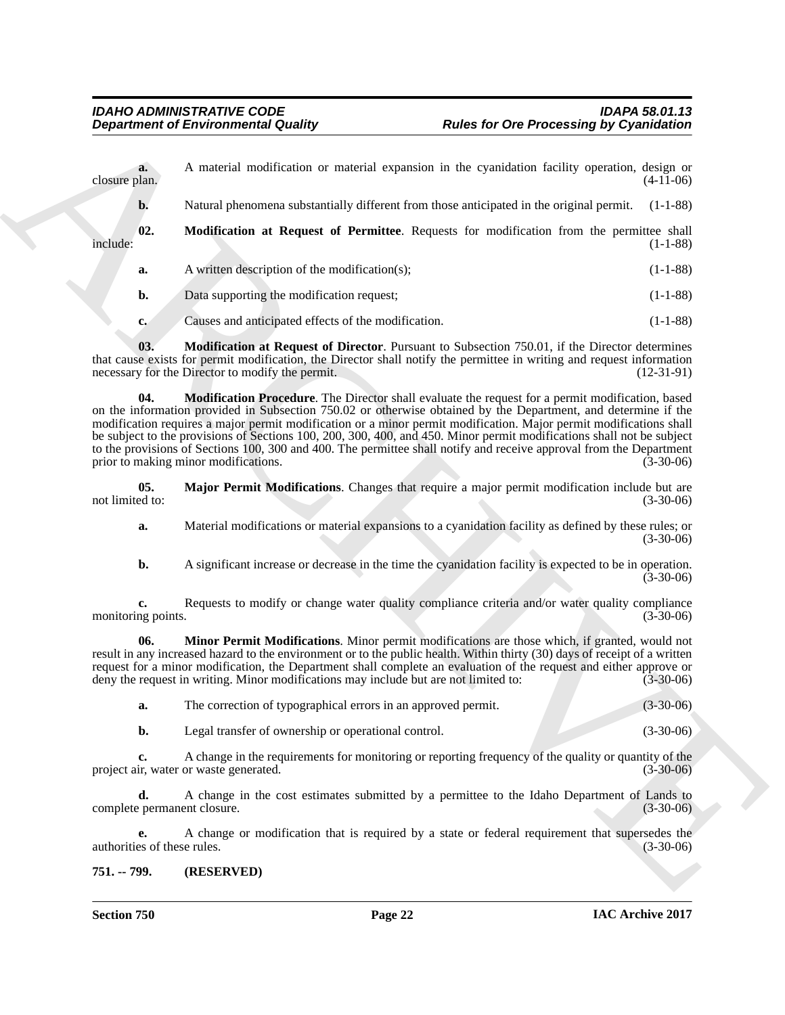<span id="page-21-4"></span>

| <b>Department of Environmental Quality</b> |                                                                                      | <b>Rules for Ore Processing by Cyanidation</b>                                                                                                                                                                                                                                                                                                                                                                                                                                                                                                                                                   |              |  |  |
|--------------------------------------------|--------------------------------------------------------------------------------------|--------------------------------------------------------------------------------------------------------------------------------------------------------------------------------------------------------------------------------------------------------------------------------------------------------------------------------------------------------------------------------------------------------------------------------------------------------------------------------------------------------------------------------------------------------------------------------------------------|--------------|--|--|
| a.<br>closure plan.                        |                                                                                      | A material modification or material expansion in the cyanidation facility operation, design or                                                                                                                                                                                                                                                                                                                                                                                                                                                                                                   | $(4-11-06)$  |  |  |
| b.                                         |                                                                                      | Natural phenomena substantially different from those anticipated in the original permit.                                                                                                                                                                                                                                                                                                                                                                                                                                                                                                         | $(1-1-88)$   |  |  |
| 02.<br>include:                            |                                                                                      | Modification at Request of Permittee. Requests for modification from the permittee shall                                                                                                                                                                                                                                                                                                                                                                                                                                                                                                         | $(1-1-88)$   |  |  |
| a.                                         | A written description of the modification(s);                                        |                                                                                                                                                                                                                                                                                                                                                                                                                                                                                                                                                                                                  | $(1-1-88)$   |  |  |
| b.                                         | Data supporting the modification request;                                            |                                                                                                                                                                                                                                                                                                                                                                                                                                                                                                                                                                                                  | $(1-1-88)$   |  |  |
| c.                                         | Causes and anticipated effects of the modification.                                  |                                                                                                                                                                                                                                                                                                                                                                                                                                                                                                                                                                                                  | $(1-1-88)$   |  |  |
| 03.                                        | necessary for the Director to modify the permit.                                     | Modification at Request of Director. Pursuant to Subsection 750.01, if the Director determines<br>that cause exists for permit modification, the Director shall notify the permittee in writing and request information                                                                                                                                                                                                                                                                                                                                                                          | $(12-31-91)$ |  |  |
| 04.                                        | prior to making minor modifications.                                                 | <b>Modification Procedure</b> . The Director shall evaluate the request for a permit modification, based<br>on the information provided in Subsection 750.02 or otherwise obtained by the Department, and determine if the<br>modification requires a major permit modification or a minor permit modification. Major permit modifications shall<br>be subject to the provisions of Sections 100, 200, 300, 400, and 450. Minor permit modifications shall not be subject<br>to the provisions of Sections 100, 300 and 400. The permittee shall notify and receive approval from the Department | $(3-30-06)$  |  |  |
| 05.<br>not limited to:                     |                                                                                      | Major Permit Modifications. Changes that require a major permit modification include but are                                                                                                                                                                                                                                                                                                                                                                                                                                                                                                     | $(3-30-06)$  |  |  |
| a.                                         |                                                                                      | Material modifications or material expansions to a cyanidation facility as defined by these rules; or                                                                                                                                                                                                                                                                                                                                                                                                                                                                                            | $(3-30-06)$  |  |  |
| b.                                         |                                                                                      | A significant increase or decrease in the time the cyanidation facility is expected to be in operation.                                                                                                                                                                                                                                                                                                                                                                                                                                                                                          | $(3-30-06)$  |  |  |
| c.<br>monitoring points.                   |                                                                                      | Requests to modify or change water quality compliance criteria and/or water quality compliance                                                                                                                                                                                                                                                                                                                                                                                                                                                                                                   | $(3-30-06)$  |  |  |
| 06.                                        | deny the request in writing. Minor modifications may include but are not limited to: | Minor Permit Modifications. Minor permit modifications are those which, if granted, would not<br>result in any increased hazard to the environment or to the public health. Within thirty (30) days of receipt of a written<br>request for a minor modification, the Department shall complete an evaluation of the request and either approve or                                                                                                                                                                                                                                                | $(3-30-06)$  |  |  |
| a.                                         | The correction of typographical errors in an approved permit.                        |                                                                                                                                                                                                                                                                                                                                                                                                                                                                                                                                                                                                  | $(3-30-06)$  |  |  |
| b.                                         | Legal transfer of ownership or operational control.                                  |                                                                                                                                                                                                                                                                                                                                                                                                                                                                                                                                                                                                  | $(3-30-06)$  |  |  |
| c.                                         | project air, water or waste generated.                                               | A change in the requirements for monitoring or reporting frequency of the quality or quantity of the                                                                                                                                                                                                                                                                                                                                                                                                                                                                                             | $(3-30-06)$  |  |  |
| d.<br>complete permanent closure.          |                                                                                      | A change in the cost estimates submitted by a permittee to the Idaho Department of Lands to                                                                                                                                                                                                                                                                                                                                                                                                                                                                                                      | $(3-30-06)$  |  |  |
| authorities of these rules.                |                                                                                      | A change or modification that is required by a state or federal requirement that supersedes the                                                                                                                                                                                                                                                                                                                                                                                                                                                                                                  | $(3-30-06)$  |  |  |
|                                            |                                                                                      |                                                                                                                                                                                                                                                                                                                                                                                                                                                                                                                                                                                                  |              |  |  |

- <span id="page-21-5"></span><span id="page-21-3"></span><span id="page-21-1"></span>**a.** Material modifications or material expansions to a cyanidation facility as defined by these rules; or (3-30-06)
- <span id="page-21-2"></span>**b.** A significant increase or decrease in the time the cyanidation facility is expected to be in operation. (3-30-06)

|  | The correction of typographical errors in an approved permit. | $(3-30-06)$ |
|--|---------------------------------------------------------------|-------------|
|--|---------------------------------------------------------------|-------------|

### <span id="page-21-0"></span>**751. -- 799. (RESERVED)**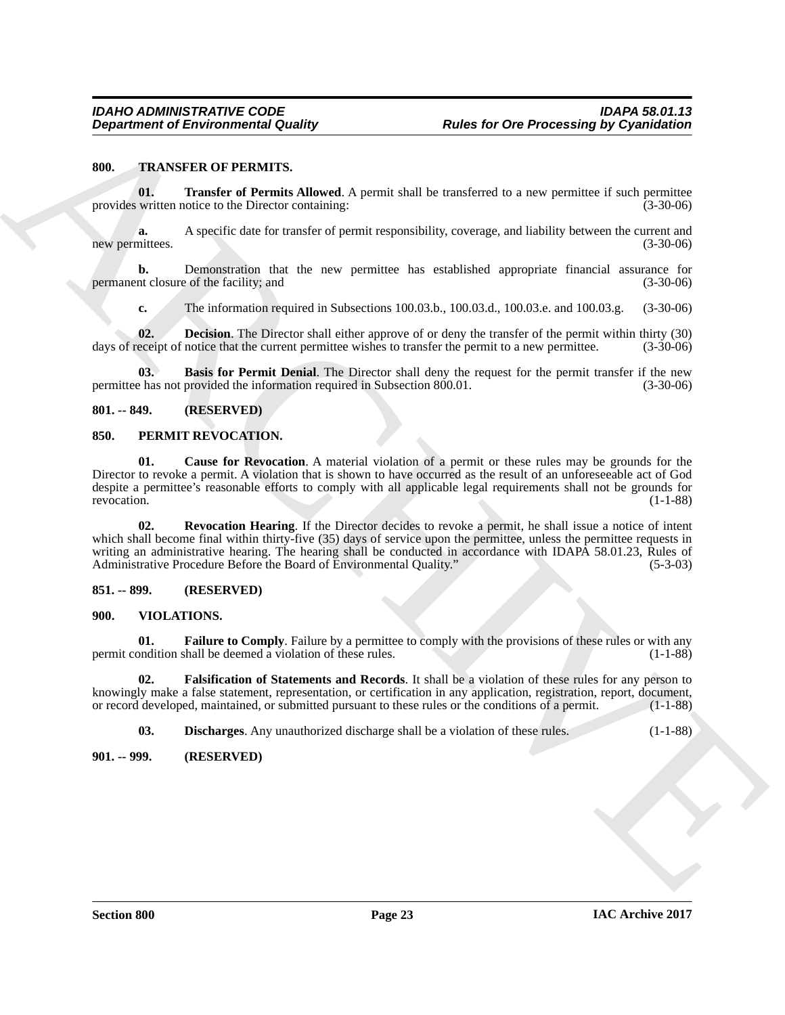#### <span id="page-22-9"></span><span id="page-22-0"></span>**800. TRANSFER OF PERMITS.**

<span id="page-22-12"></span>**01.** Transfer of Permits Allowed. A permit shall be transferred to a new permittee if such permittee provides written notice to the Director containing: (3-30-06)

**a.** A specific date for transfer of permit responsibility, coverage, and liability between the current and mittees. (3-30-06) new permittees.

**b.** Demonstration that the new permittee has established appropriate financial assurance for permanent closure of the facility; and  $(3-30-06)$ 

<span id="page-22-11"></span><span id="page-22-10"></span>**c.** The information required in Subsections 100.03.b., 100.03.d., 100.03.e. and 100.03.g. (3-30-06)

**02. Decision**. The Director shall either approve of or deny the transfer of the permit within thirty (30) days of receipt of notice that the current permittee wishes to transfer the permit to a new permittee.  $(3-30-06)$ 

**03. Basis for Permit Denial**. The Director shall deny the request for the permit transfer if the new permittee has not provided the information required in Subsection 800.01. (3-30-06)

#### <span id="page-22-1"></span>**801. -- 849. (RESERVED)**

#### <span id="page-22-6"></span><span id="page-22-2"></span>**850. PERMIT REVOCATION.**

<span id="page-22-8"></span><span id="page-22-7"></span>**01. Cause for Revocation**. A material violation of a permit or these rules may be grounds for the Director to revoke a permit. A violation that is shown to have occurred as the result of an unforeseeable act of God despite a permittee's reasonable efforts to comply with all applicable legal requirements shall not be grounds for revocation. (1-1-88) revocation. (1-1-88)

**Department of Environmental Guality Reales for One Processing By Cyanickinian<br>
800. The Real of Permiss Allevels A yearn shall be usualcost to a me- parameter fi and permission<br>
800. The Real of Permission Repubblic proc 02. Revocation Hearing**. If the Director decides to revoke a permit, he shall issue a notice of intent which shall become final within thirty-five (35) days of service upon the permittee, unless the permittee requests in writing an administrative hearing. The hearing shall be conducted in accordance with IDAPA 58.01.23, Rules of Administrative Procedure Before the Board of Environmental Quality." (5-3-03) Administrative Procedure Before the Board of Environmental Quality."

#### <span id="page-22-3"></span>**851. -- 899. (RESERVED)**

#### <span id="page-22-13"></span><span id="page-22-4"></span>**900. VIOLATIONS.**

<span id="page-22-15"></span>**01. Failure to Comply**. Failure by a permittee to comply with the provisions of these rules or with any pondition shall be deemed a violation of these rules. permit condition shall be deemed a violation of these rules.

**02. Falsification of Statements and Records**. It shall be a violation of these rules for any person to knowingly make a false statement, representation, or certification in any application, registration, report, document, or record developed, maintained, or submitted pursuant to these rules or the conditions of a permit. (1-1-88)

<span id="page-22-16"></span><span id="page-22-14"></span>**03. Discharges**. Any unauthorized discharge shall be a violation of these rules. (1-1-88)

<span id="page-22-5"></span>**901. -- 999. (RESERVED)**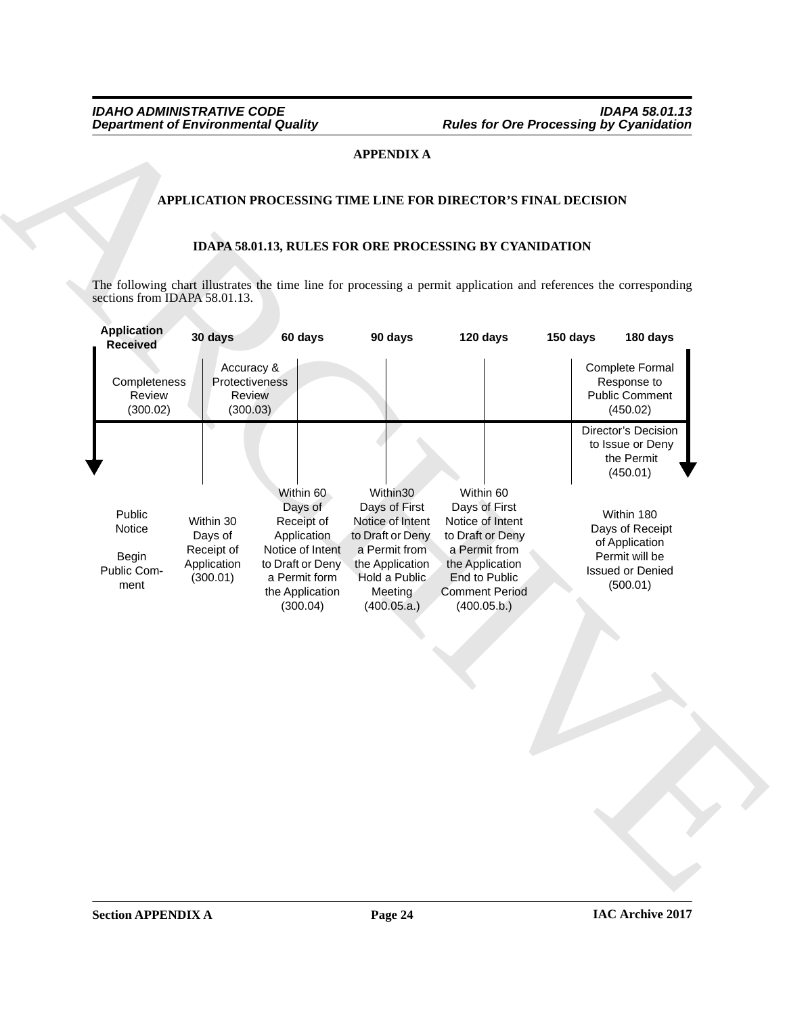# **APPENDIX A**

# **APPLICATION PROCESSING TIME LINE FOR DIRECTOR'S FINAL DECISION**

# <span id="page-23-0"></span>**IDAPA 58.01.13, RULES FOR ORE PROCESSING BY CYANIDATION**

|                                                         |                                                               |                                                                                                                                           | <b>APPENDIX A</b>                                                                                                                                |                                                                                                                                                                 |          |                                                                                                          |
|---------------------------------------------------------|---------------------------------------------------------------|-------------------------------------------------------------------------------------------------------------------------------------------|--------------------------------------------------------------------------------------------------------------------------------------------------|-----------------------------------------------------------------------------------------------------------------------------------------------------------------|----------|----------------------------------------------------------------------------------------------------------|
|                                                         |                                                               |                                                                                                                                           |                                                                                                                                                  |                                                                                                                                                                 |          |                                                                                                          |
|                                                         |                                                               |                                                                                                                                           |                                                                                                                                                  | APPLICATION PROCESSING TIME LINE FOR DIRECTOR'S FINAL DECISION                                                                                                  |          |                                                                                                          |
|                                                         |                                                               |                                                                                                                                           |                                                                                                                                                  | IDAPA 58.01.13, RULES FOR ORE PROCESSING BY CYANIDATION                                                                                                         |          |                                                                                                          |
|                                                         |                                                               |                                                                                                                                           |                                                                                                                                                  |                                                                                                                                                                 |          |                                                                                                          |
| sections from IDAPA 58.01.13.                           |                                                               |                                                                                                                                           |                                                                                                                                                  | The following chart illustrates the time line for processing a permit application and references the corresponding                                              |          |                                                                                                          |
| Application<br><b>Received</b>                          | 30 days                                                       | 60 days                                                                                                                                   | 90 days                                                                                                                                          | 120 days                                                                                                                                                        | 150 days | 180 days                                                                                                 |
| Completeness<br>Review<br>(300.02)                      | Accuracy &<br>Protectiveness<br>Review<br>(300.03)            |                                                                                                                                           |                                                                                                                                                  |                                                                                                                                                                 |          | Complete Formal<br>Response to<br><b>Public Comment</b><br>(450.02)                                      |
|                                                         |                                                               |                                                                                                                                           |                                                                                                                                                  |                                                                                                                                                                 |          | Director's Decision<br>to Issue or Deny<br>the Permit<br>(450.01)                                        |
| Public<br>Notice<br><b>Begin</b><br>Public Com-<br>ment | Within 30<br>Days of<br>Receipt of<br>Application<br>(300.01) | Within 60<br>Days of<br>Receipt of<br>Application<br>Notice of Intent<br>to Draft or Deny<br>a Permit form<br>the Application<br>(300.04) | Within30<br>Days of First<br>Notice of Intent<br>to Draft or Deny<br>a Permit from<br>the Application<br>Hold a Public<br>Meeting<br>(400.05.a.) | Within 60<br>Days of First<br>Notice of Intent<br>to Draft or Deny<br>a Permit from<br>the Application<br>End to Public<br><b>Comment Period</b><br>(400.05.b.) |          | Within 180<br>Days of Receipt<br>of Application<br>Permit will be<br><b>Issued or Denied</b><br>(500.01) |
|                                                         |                                                               |                                                                                                                                           |                                                                                                                                                  |                                                                                                                                                                 |          |                                                                                                          |
|                                                         |                                                               |                                                                                                                                           |                                                                                                                                                  |                                                                                                                                                                 |          |                                                                                                          |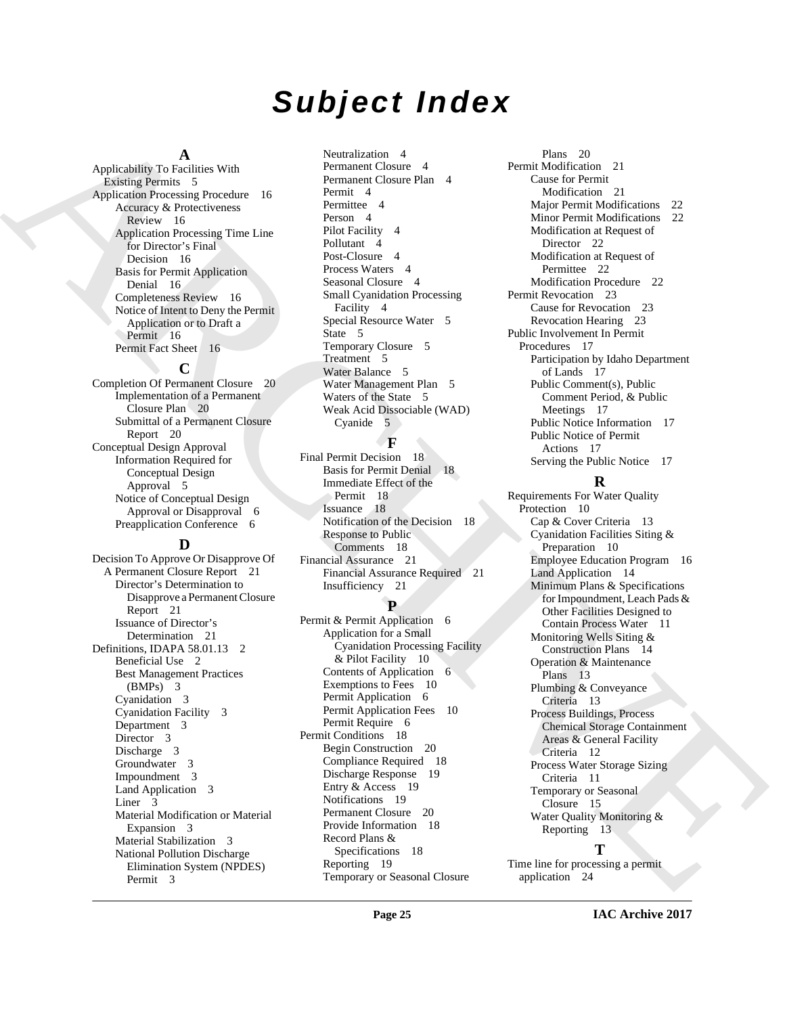# *Subject Index*

### **A**

Applicability To Facilities With Existing Permits 5 Application Processing Procedure 16 Accuracy & Protectiveness Review 16 Application Processing Time Line for Director's Final Decision 16 Basis for Permit Application Denial 16 Completeness Review 16 Notice of Intent to Deny the Permit Application or to Draft a Permit 16 Permit Fact Sheet 16

### **C**

Completion Of Permanent Closure 20 Implementation of a Permanent Closure Plan 20 Submittal of a Permanent Closure Report 20 Conceptual Design Approval Information Required for Conceptual Design Approval 5 Notice of Conceptual Design Approval or Disapproval 6 Preapplication Conference 6

### **D**

Decision To Approve Or Disapprove Of A Permanent Closure Report 21 Director's Determination to Disapprove a Permanent Closure Report 21 Issuance of Director's Determination 21 Definitions, IDAPA 58.01.13 2 Beneficial Use 2 Best Management Practices (BMPs) 3 Cyanidation 3 Cyanidation Facility 3 Department 3 Director 3 Discharge 3 Groundwater 3 Impoundment 3 Land Application 3 Liner 3 Material Modification or Material Expansion 3 Material Stabilization 3 National Pollution Discharge Elimination System (NPDES) Permit 3

Neutralization 4 Permanent Closure 4 Permanent Closure Plan 4 Permit 4 Permittee 4 Person 4 Pilot Facility 4 Pollutant 4 Post-Closure 4 Process Waters 4 Seasonal Closure 4 Small Cyanidation Processing Facility 4 Special Resource Water 5 State 5 Temporary Closure 5 Treatment 5 Water Balance 5 Water Management Plan 5 Waters of the State 5 Weak Acid Dissociable (WAD) Cyanide 5

# **F**

Final Permit Decision 18 Basis for Permit Denial 18 Immediate Effect of the Permit 18 Issuance 18 Notification of the Decision 18 Response to Public Comments 18 Financial Assurance 21 Financial Assurance Required 21 Insufficiency 21

### **P**

Permit & Permit Application 6 Application for a Small Cyanidation Processing Facility & Pilot Facility 10 Contents of Application 6 Exemptions to Fees 10 Permit Application 6 Permit Application Fees 10 Permit Require 6 Permit Conditions 18 Begin Construction 20 Compliance Required 18 Discharge Response 19 Entry & Access 19 Notifications 19 Permanent Closure 20 Provide Information 18 Record Plans & Specifications 18 Reporting 19 Temporary or Seasonal Closure

Plans 20 Permit Modification 21 Cause for Permit Modification 21 Major Permit Modifications 22 Minor Permit Modifications 22 Modification at Request of Director 22 Modification at Request of Permittee 22 Modification Procedure 22 Permit Revocation 23 Cause for Revocation 23 Revocation Hearing 23 Public Involvement In Permit Procedures 17 Participation by Idaho Department of Lands 17 Public Comment(s), Public Comment Period, & Public Meetings 17 Public Notice Information 17 Public Notice of Permit Actions 17 Serving the Public Notice 17

# **R**

[A](#page-15-4)[R](#page-15-7)[C](#page-4-13)[H](#page-17-6)[I](#page-10-0)[VE](#page-11-0) Requirements For Water Quality Protection 10 Cap & Cover Criteria 13 Cyanidation Facilities Siting & Preparation 10 Employee Education Program 16 Land Application 14 Minimum Plans & Specifications for Impoundment, Leach Pads & Other Facilities Designed to Contain Process Water 11 Monitoring Wells Siting & Construction Plans 14 Operation & Maintenance Plans 13 Plumbing & Conveyance Criteria 13 Process Buildings, Process Chemical Storage Containment Areas & General Facility Criteria 12 Process Water Storage Sizing Criteria 11 Temporary or Seasonal Closure 15 Water Quality Monitoring & Reporting 13 **T**

Time line for processing a permit application 24